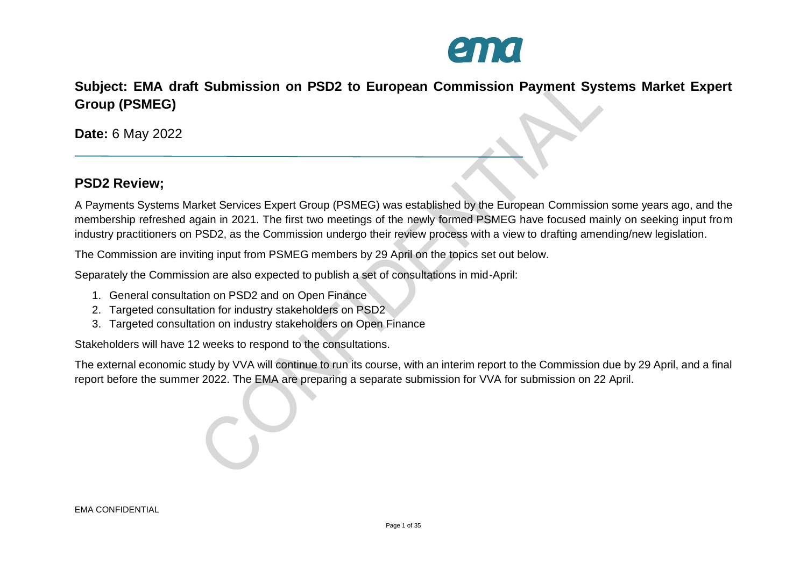

**Subject: EMA draft Submission on PSD2 to European Commission Payment Systems Market Expert Group (PSMEG)**

**Date:** 6 May 2022

## **PSD2 Review;**

A Payments Systems Market Services Expert Group (PSMEG) was established by the European Commission some years ago, and the membership refreshed again in 2021. The first two meetings of the newly formed PSMEG have focused mainly on seeking input from industry practitioners on PSD2, as the Commission undergo their review process with a view to drafting amending/new legislation.

The Commission are inviting input from PSMEG members by 29 April on the topics set out below.

Separately the Commission are also expected to publish a set of consultations in mid-April:

- 1. General consultation on PSD2 and on Open Finance
- 2. Targeted consultation for industry stakeholders on PSD2
- 3. Targeted consultation on industry stakeholders on Open Finance

Stakeholders will have 12 weeks to respond to the consultations.

The external economic study by VVA will continue to run its course, with an interim report to the Commission due by 29 April, and a final report before the summer 2022. The EMA are preparing a separate submission for VVA for submission on 22 April.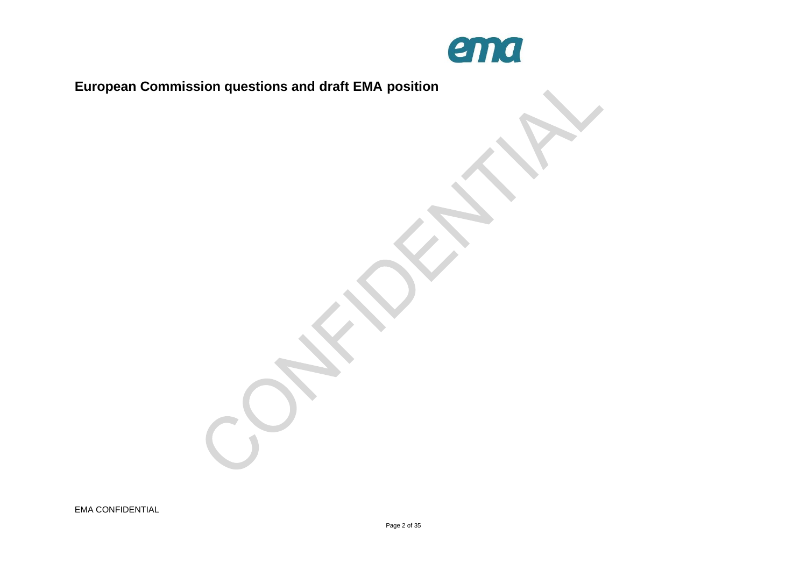

**European Commission questions and draft EMA position**

EMA CONFIDENTIAL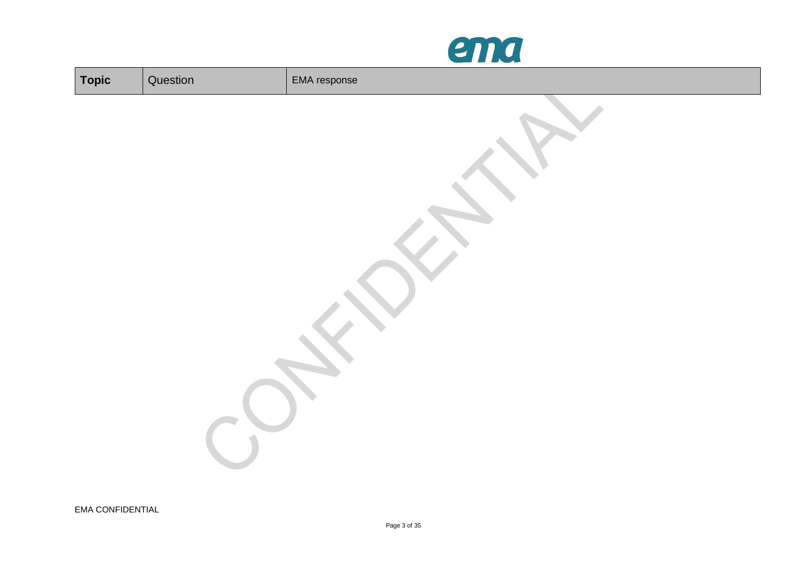

| Topic | Question | EMA response |
|-------|----------|--------------|
|       |          |              |
|       |          |              |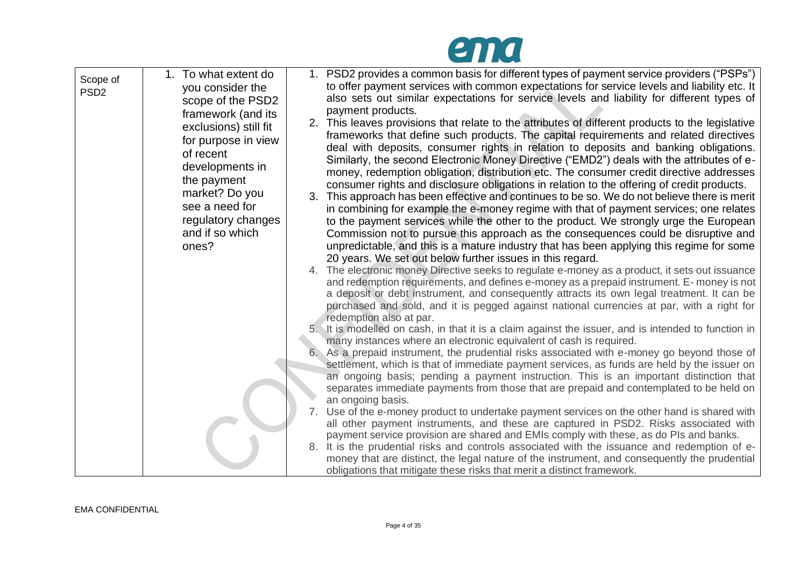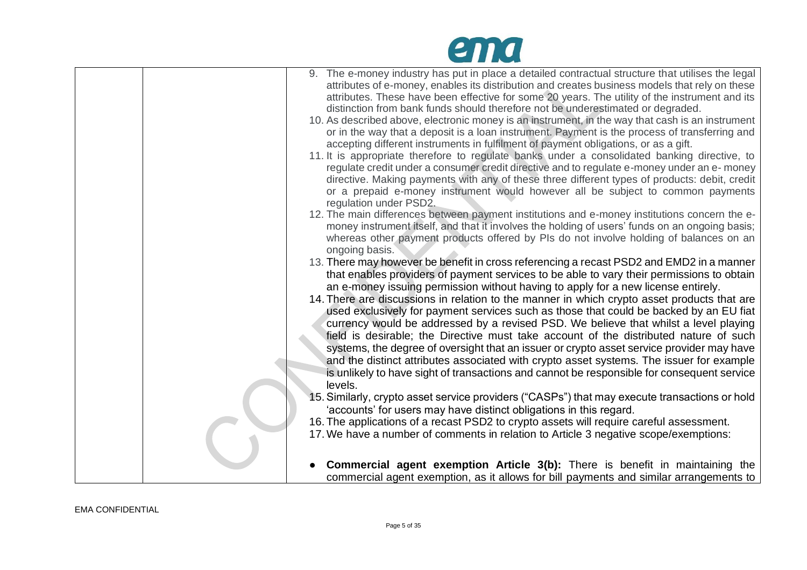## ema

| 9. The e-money industry has put in place a detailed contractual structure that utilises the legal<br>attributes of e-money, enables its distribution and creates business models that rely on these                                                                                      |
|------------------------------------------------------------------------------------------------------------------------------------------------------------------------------------------------------------------------------------------------------------------------------------------|
| attributes. These have been effective for some 20 years. The utility of the instrument and its                                                                                                                                                                                           |
| distinction from bank funds should therefore not be underestimated or degraded.                                                                                                                                                                                                          |
| 10. As described above, electronic money is an instrument, in the way that cash is an instrument<br>or in the way that a deposit is a loan instrument. Payment is the process of transferring and<br>accepting different instruments in fulfilment of payment obligations, or as a gift. |
| 11. It is appropriate therefore to regulate banks under a consolidated banking directive, to                                                                                                                                                                                             |
| regulate credit under a consumer credit directive and to regulate e-money under an e- money<br>directive. Making payments with any of these three different types of products: debit, credit<br>or a prepaid e-money instrument would however all be subject to common payments          |
| regulation under PSD2.<br>12. The main differences between payment institutions and e-money institutions concern the e-                                                                                                                                                                  |
| money instrument itself, and that it involves the holding of users' funds on an ongoing basis;                                                                                                                                                                                           |
| whereas other payment products offered by PIs do not involve holding of balances on an                                                                                                                                                                                                   |
| ongoing basis.                                                                                                                                                                                                                                                                           |
| 13. There may however be benefit in cross referencing a recast PSD2 and EMD2 in a manner                                                                                                                                                                                                 |
| that enables providers of payment services to be able to vary their permissions to obtain                                                                                                                                                                                                |
| an e-money issuing permission without having to apply for a new license entirely.                                                                                                                                                                                                        |
| 14. There are discussions in relation to the manner in which crypto asset products that are                                                                                                                                                                                              |
| used exclusively for payment services such as those that could be backed by an EU fiat                                                                                                                                                                                                   |
| currency would be addressed by a revised PSD. We believe that whilst a level playing                                                                                                                                                                                                     |
| field is desirable; the Directive must take account of the distributed nature of such                                                                                                                                                                                                    |
| systems, the degree of oversight that an issuer or crypto asset service provider may have                                                                                                                                                                                                |
| and the distinct attributes associated with crypto asset systems. The issuer for example<br>is unlikely to have sight of transactions and cannot be responsible for consequent service                                                                                                   |
| levels.                                                                                                                                                                                                                                                                                  |
| 15. Similarly, crypto asset service providers ("CASPs") that may execute transactions or hold                                                                                                                                                                                            |
| 'accounts' for users may have distinct obligations in this regard.                                                                                                                                                                                                                       |
| 16. The applications of a recast PSD2 to crypto assets will require careful assessment.                                                                                                                                                                                                  |
| 17. We have a number of comments in relation to Article 3 negative scope/exemptions:                                                                                                                                                                                                     |
|                                                                                                                                                                                                                                                                                          |
| <b>Commercial agent exemption Article 3(b):</b> There is benefit in maintaining the                                                                                                                                                                                                      |
| commercial agent exemption, as it allows for bill payments and similar arrangements to                                                                                                                                                                                                   |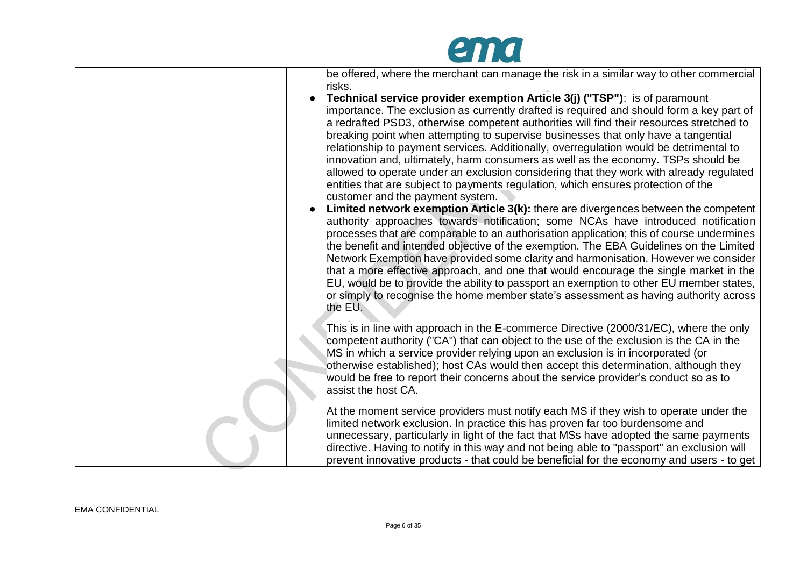

| be offered, where the merchant can manage the risk in a similar way to other commercial<br>risks.<br>Technical service provider exemption Article 3(j) ("TSP"): is of paramount<br>importance. The exclusion as currently drafted is required and should form a key part of<br>a redrafted PSD3, otherwise competent authorities will find their resources stretched to<br>breaking point when attempting to supervise businesses that only have a tangential<br>relationship to payment services. Additionally, overregulation would be detrimental to<br>innovation and, ultimately, harm consumers as well as the economy. TSPs should be<br>allowed to operate under an exclusion considering that they work with already regulated<br>entities that are subject to payments regulation, which ensures protection of the<br>customer and the payment system.<br>Limited network exemption Article 3(k): there are divergences between the competent<br>authority approaches towards notification; some NCAs have introduced notification<br>processes that are comparable to an authorisation application; this of course undermines<br>the benefit and intended objective of the exemption. The EBA Guidelines on the Limited<br>Network Exemption have provided some clarity and harmonisation. However we consider<br>that a more effective approach, and one that would encourage the single market in the<br>EU, would be to provide the ability to passport an exemption to other EU member states,<br>or simply to recognise the home member state's assessment as having authority across |
|-------------------------------------------------------------------------------------------------------------------------------------------------------------------------------------------------------------------------------------------------------------------------------------------------------------------------------------------------------------------------------------------------------------------------------------------------------------------------------------------------------------------------------------------------------------------------------------------------------------------------------------------------------------------------------------------------------------------------------------------------------------------------------------------------------------------------------------------------------------------------------------------------------------------------------------------------------------------------------------------------------------------------------------------------------------------------------------------------------------------------------------------------------------------------------------------------------------------------------------------------------------------------------------------------------------------------------------------------------------------------------------------------------------------------------------------------------------------------------------------------------------------------------------------------------------------------------------------------------|
| the EU.<br>This is in line with approach in the E-commerce Directive (2000/31/EC), where the only<br>competent authority ("CA") that can object to the use of the exclusion is the CA in the<br>MS in which a service provider relying upon an exclusion is in incorporated (or<br>otherwise established); host CAs would then accept this determination, although they<br>would be free to report their concerns about the service provider's conduct so as to<br>assist the host CA.                                                                                                                                                                                                                                                                                                                                                                                                                                                                                                                                                                                                                                                                                                                                                                                                                                                                                                                                                                                                                                                                                                                |
| At the moment service providers must notify each MS if they wish to operate under the<br>limited network exclusion. In practice this has proven far too burdensome and<br>unnecessary, particularly in light of the fact that MSs have adopted the same payments<br>directive. Having to notify in this way and not being able to "passport" an exclusion will<br>prevent innovative products - that could be beneficial for the economy and users - to get                                                                                                                                                                                                                                                                                                                                                                                                                                                                                                                                                                                                                                                                                                                                                                                                                                                                                                                                                                                                                                                                                                                                           |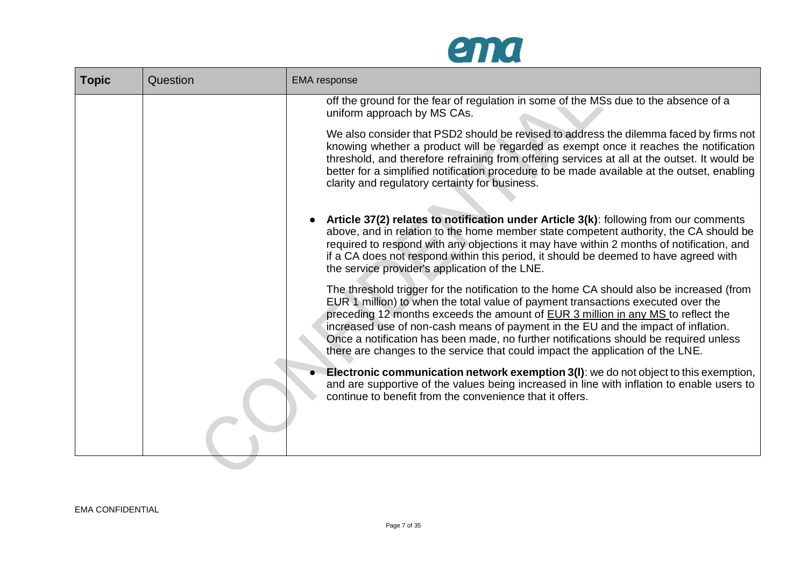

| <b>Topic</b> | Question | <b>EMA</b> response                                                                                                                                                                                                                                                                                                                                                                                                                                                                                                              |
|--------------|----------|----------------------------------------------------------------------------------------------------------------------------------------------------------------------------------------------------------------------------------------------------------------------------------------------------------------------------------------------------------------------------------------------------------------------------------------------------------------------------------------------------------------------------------|
|              |          | off the ground for the fear of regulation in some of the MSs due to the absence of a<br>uniform approach by MS CAs.                                                                                                                                                                                                                                                                                                                                                                                                              |
|              |          | We also consider that PSD2 should be revised to address the dilemma faced by firms not<br>knowing whether a product will be regarded as exempt once it reaches the notification<br>threshold, and therefore refraining from offering services at all at the outset. It would be<br>better for a simplified notification procedure to be made available at the outset, enabling<br>clarity and regulatory certainty for business.                                                                                                 |
|              |          | Article 37(2) relates to notification under Article 3(k): following from our comments<br>above, and in relation to the home member state competent authority, the CA should be<br>required to respond with any objections it may have within 2 months of notification, and<br>if a CA does not respond within this period, it should be deemed to have agreed with<br>the service provider's application of the LNE.                                                                                                             |
|              |          | The threshold trigger for the notification to the home CA should also be increased (from<br>EUR 1 million) to when the total value of payment transactions executed over the<br>preceding 12 months exceeds the amount of EUR 3 million in any MS to reflect the<br>increased use of non-cash means of payment in the EU and the impact of inflation.<br>Once a notification has been made, no further notifications should be required unless<br>there are changes to the service that could impact the application of the LNE. |
|              |          | <b>Electronic communication network exemption 3(I)</b> : we do not object to this exemption,<br>and are supportive of the values being increased in line with inflation to enable users to<br>continue to benefit from the convenience that it offers.                                                                                                                                                                                                                                                                           |
|              |          |                                                                                                                                                                                                                                                                                                                                                                                                                                                                                                                                  |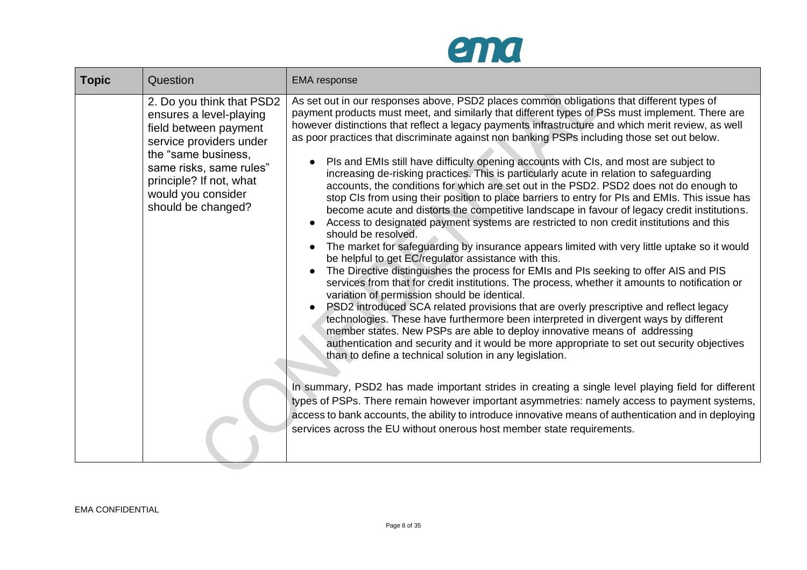

| <b>Topic</b> | Question                                                                                                                                                                                                                          | <b>EMA</b> response                                                                                                                                                                                                                                                                                                                                                                                                                                                                                                                                                                                                                                                                                                                                                                                                                                                                                                                                                                                                                                                                                                                                                                                                                                                                                                                                                                                                                                                                                                                                                                                                                                                                                                                                                                                                                                                                                                                                                                                                                                                                                                                                                                                                      |  |  |  |
|--------------|-----------------------------------------------------------------------------------------------------------------------------------------------------------------------------------------------------------------------------------|--------------------------------------------------------------------------------------------------------------------------------------------------------------------------------------------------------------------------------------------------------------------------------------------------------------------------------------------------------------------------------------------------------------------------------------------------------------------------------------------------------------------------------------------------------------------------------------------------------------------------------------------------------------------------------------------------------------------------------------------------------------------------------------------------------------------------------------------------------------------------------------------------------------------------------------------------------------------------------------------------------------------------------------------------------------------------------------------------------------------------------------------------------------------------------------------------------------------------------------------------------------------------------------------------------------------------------------------------------------------------------------------------------------------------------------------------------------------------------------------------------------------------------------------------------------------------------------------------------------------------------------------------------------------------------------------------------------------------------------------------------------------------------------------------------------------------------------------------------------------------------------------------------------------------------------------------------------------------------------------------------------------------------------------------------------------------------------------------------------------------------------------------------------------------------------------------------------------------|--|--|--|
|              | 2. Do you think that PSD2<br>ensures a level-playing<br>field between payment<br>service providers under<br>the "same business,<br>same risks, same rules"<br>principle? If not, what<br>would you consider<br>should be changed? | As set out in our responses above, PSD2 places common obligations that different types of<br>payment products must meet, and similarly that different types of PSs must implement. There are<br>however distinctions that reflect a legacy payments infrastructure and which merit review, as well<br>as poor practices that discriminate against non banking PSPs including those set out below.<br>PIs and EMIs still have difficulty opening accounts with CIs, and most are subject to<br>increasing de-risking practices. This is particularly acute in relation to safeguarding<br>accounts, the conditions for which are set out in the PSD2. PSD2 does not do enough to<br>stop CIs from using their position to place barriers to entry for PIs and EMIs. This issue has<br>become acute and distorts the competitive landscape in favour of legacy credit institutions.<br>Access to designated payment systems are restricted to non credit institutions and this<br>should be resolved.<br>The market for safeguarding by insurance appears limited with very little uptake so it would<br>be helpful to get EC/regulator assistance with this.<br>The Directive distinguishes the process for EMIs and PIs seeking to offer AIS and PIS<br>services from that for credit institutions. The process, whether it amounts to notification or<br>variation of permission should be identical.<br>PSD2 introduced SCA related provisions that are overly prescriptive and reflect legacy<br>technologies. These have furthermore been interpreted in divergent ways by different<br>member states. New PSPs are able to deploy innovative means of addressing<br>authentication and security and it would be more appropriate to set out security objectives<br>than to define a technical solution in any legislation.<br>In summary, PSD2 has made important strides in creating a single level playing field for different<br>types of PSPs. There remain however important asymmetries: namely access to payment systems,<br>access to bank accounts, the ability to introduce innovative means of authentication and in deploying<br>services across the EU without onerous host member state requirements. |  |  |  |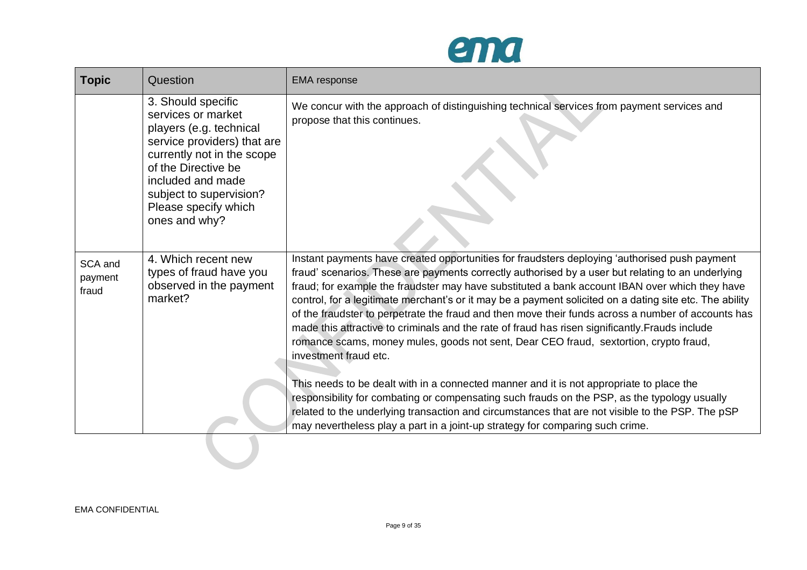

| <b>Topic</b>                | Question                                                                                                                                                                                                                                         | <b>EMA</b> response                                                                                                                                                                                                                                                                                                                                                                                                                                                                                                                                                                                                                                                                                                                                                                                                                                                                                                                                                                                                                                                                                                         |
|-----------------------------|--------------------------------------------------------------------------------------------------------------------------------------------------------------------------------------------------------------------------------------------------|-----------------------------------------------------------------------------------------------------------------------------------------------------------------------------------------------------------------------------------------------------------------------------------------------------------------------------------------------------------------------------------------------------------------------------------------------------------------------------------------------------------------------------------------------------------------------------------------------------------------------------------------------------------------------------------------------------------------------------------------------------------------------------------------------------------------------------------------------------------------------------------------------------------------------------------------------------------------------------------------------------------------------------------------------------------------------------------------------------------------------------|
|                             | 3. Should specific<br>services or market<br>players (e.g. technical<br>service providers) that are<br>currently not in the scope<br>of the Directive be<br>included and made<br>subject to supervision?<br>Please specify which<br>ones and why? | We concur with the approach of distinguishing technical services from payment services and<br>propose that this continues.                                                                                                                                                                                                                                                                                                                                                                                                                                                                                                                                                                                                                                                                                                                                                                                                                                                                                                                                                                                                  |
| SCA and<br>payment<br>fraud | 4. Which recent new<br>types of fraud have you<br>observed in the payment<br>market?                                                                                                                                                             | Instant payments have created opportunities for fraudsters deploying 'authorised push payment<br>fraud' scenarios. These are payments correctly authorised by a user but relating to an underlying<br>fraud; for example the fraudster may have substituted a bank account IBAN over which they have<br>control, for a legitimate merchant's or it may be a payment solicited on a dating site etc. The ability<br>of the fraudster to perpetrate the fraud and then move their funds across a number of accounts has<br>made this attractive to criminals and the rate of fraud has risen significantly. Frauds include<br>romance scams, money mules, goods not sent, Dear CEO fraud, sextortion, crypto fraud,<br>investment fraud etc.<br>This needs to be dealt with in a connected manner and it is not appropriate to place the<br>responsibility for combating or compensating such frauds on the PSP, as the typology usually<br>related to the underlying transaction and circumstances that are not visible to the PSP. The pSP<br>may nevertheless play a part in a joint-up strategy for comparing such crime. |
|                             |                                                                                                                                                                                                                                                  |                                                                                                                                                                                                                                                                                                                                                                                                                                                                                                                                                                                                                                                                                                                                                                                                                                                                                                                                                                                                                                                                                                                             |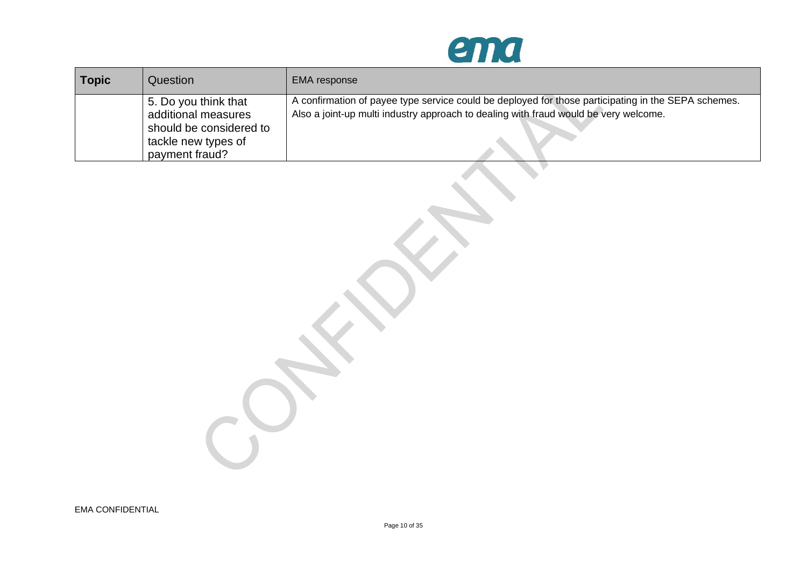

| <b>Topic</b> | Question                                       | EMA response                                                                                                                                                                                |
|--------------|------------------------------------------------|---------------------------------------------------------------------------------------------------------------------------------------------------------------------------------------------|
|              | 5. Do you think that<br>additional measures    | A confirmation of payee type service could be deployed for those participating in the SEPA schemes.<br>Also a joint-up multi industry approach to dealing with fraud would be very welcome. |
|              | should be considered to<br>tackle new types of |                                                                                                                                                                                             |
|              | payment fraud?                                 |                                                                                                                                                                                             |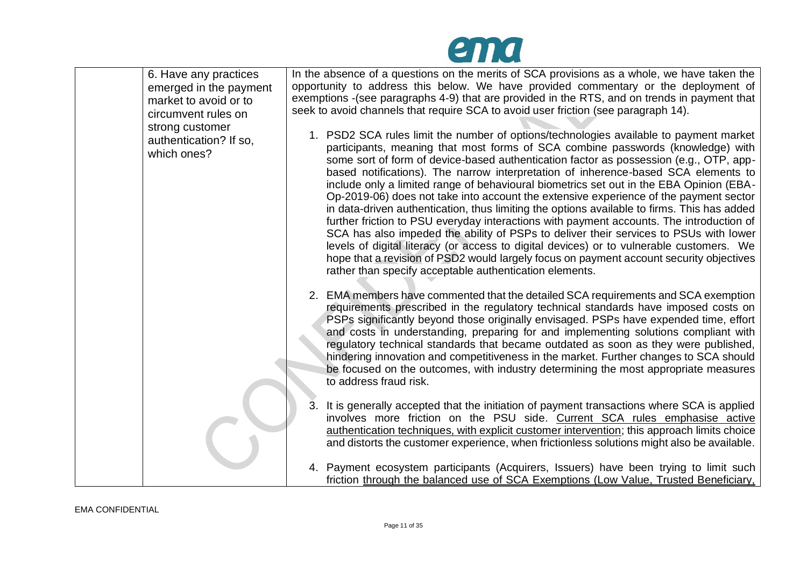

| 6. Have any practices<br>emerged in the payment<br>market to avoid or to<br>circumvent rules on | In the absence of a questions on the merits of SCA provisions as a whole, we have taken the<br>opportunity to address this below. We have provided commentary or the deployment of<br>exemptions - (see paragraphs 4-9) that are provided in the RTS, and on trends in payment that<br>seek to avoid channels that require SCA to avoid user friction (see paragraph 14).                                                                                                                                                                                                                                                                                                                                                                                                                                                                                                                                                                                                                                                                                                           |
|-------------------------------------------------------------------------------------------------|-------------------------------------------------------------------------------------------------------------------------------------------------------------------------------------------------------------------------------------------------------------------------------------------------------------------------------------------------------------------------------------------------------------------------------------------------------------------------------------------------------------------------------------------------------------------------------------------------------------------------------------------------------------------------------------------------------------------------------------------------------------------------------------------------------------------------------------------------------------------------------------------------------------------------------------------------------------------------------------------------------------------------------------------------------------------------------------|
| strong customer<br>authentication? If so,<br>which ones?                                        | 1. PSD2 SCA rules limit the number of options/technologies available to payment market<br>participants, meaning that most forms of SCA combine passwords (knowledge) with<br>some sort of form of device-based authentication factor as possession (e.g., OTP, app-<br>based notifications). The narrow interpretation of inherence-based SCA elements to<br>include only a limited range of behavioural biometrics set out in the EBA Opinion (EBA-<br>Op-2019-06) does not take into account the extensive experience of the payment sector<br>in data-driven authentication, thus limiting the options available to firms. This has added<br>further friction to PSU everyday interactions with payment accounts. The introduction of<br>SCA has also impeded the ability of PSPs to deliver their services to PSUs with lower<br>levels of digital literacy (or access to digital devices) or to vulnerable customers. We<br>hope that a revision of PSD2 would largely focus on payment account security objectives<br>rather than specify acceptable authentication elements. |
|                                                                                                 | 2. EMA members have commented that the detailed SCA requirements and SCA exemption<br>requirements prescribed in the regulatory technical standards have imposed costs on<br>PSPs significantly beyond those originally envisaged. PSPs have expended time, effort<br>and costs in understanding, preparing for and implementing solutions compliant with<br>regulatory technical standards that became outdated as soon as they were published,<br>hindering innovation and competitiveness in the market. Further changes to SCA should<br>be focused on the outcomes, with industry determining the most appropriate measures<br>to address fraud risk.                                                                                                                                                                                                                                                                                                                                                                                                                          |
|                                                                                                 | 3. It is generally accepted that the initiation of payment transactions where SCA is applied<br>involves more friction on the PSU side. Current SCA rules emphasise active<br>authentication techniques, with explicit customer intervention; this approach limits choice<br>and distorts the customer experience, when frictionless solutions might also be available.                                                                                                                                                                                                                                                                                                                                                                                                                                                                                                                                                                                                                                                                                                             |
|                                                                                                 | 4. Payment ecosystem participants (Acquirers, Issuers) have been trying to limit such<br>friction through the balanced use of SCA Exemptions (Low Value, Trusted Beneficiary,                                                                                                                                                                                                                                                                                                                                                                                                                                                                                                                                                                                                                                                                                                                                                                                                                                                                                                       |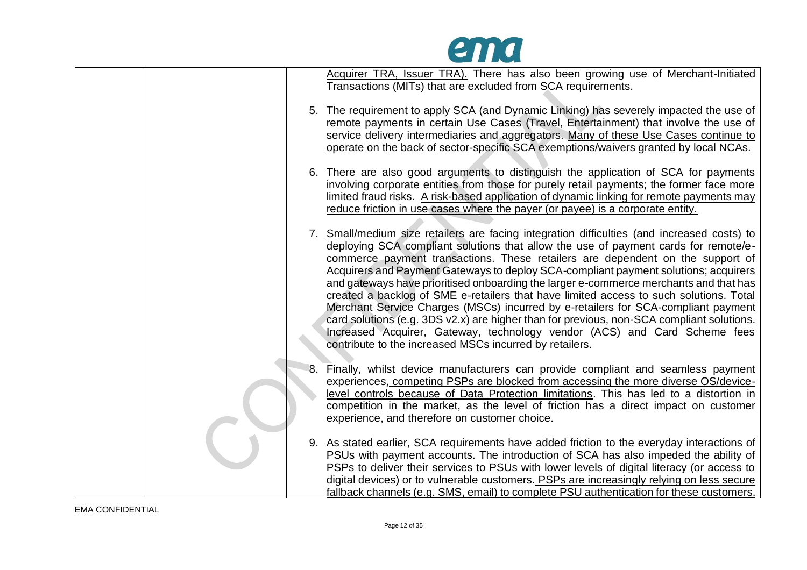

|  | Acquirer TRA, Issuer TRA). There has also been growing use of Merchant-Initiated<br>Transactions (MITs) that are excluded from SCA requirements.                                                                                                                                                                                                                                                                                                                                                                                                                                                                                                                                                                                                                                                                                                                         |
|--|--------------------------------------------------------------------------------------------------------------------------------------------------------------------------------------------------------------------------------------------------------------------------------------------------------------------------------------------------------------------------------------------------------------------------------------------------------------------------------------------------------------------------------------------------------------------------------------------------------------------------------------------------------------------------------------------------------------------------------------------------------------------------------------------------------------------------------------------------------------------------|
|  | 5. The requirement to apply SCA (and Dynamic Linking) has severely impacted the use of<br>remote payments in certain Use Cases (Travel, Entertainment) that involve the use of<br>service delivery intermediaries and aggregators. Many of these Use Cases continue to<br>operate on the back of sector-specific SCA exemptions/waivers granted by local NCAs.                                                                                                                                                                                                                                                                                                                                                                                                                                                                                                           |
|  | 6. There are also good arguments to distinguish the application of SCA for payments<br>involving corporate entities from those for purely retail payments; the former face more<br>limited fraud risks. A risk-based application of dynamic linking for remote payments may<br>reduce friction in use cases where the payer (or payee) is a corporate entity.                                                                                                                                                                                                                                                                                                                                                                                                                                                                                                            |
|  | 7. Small/medium size retailers are facing integration difficulties (and increased costs) to<br>deploying SCA compliant solutions that allow the use of payment cards for remote/e-<br>commerce payment transactions. These retailers are dependent on the support of<br>Acquirers and Payment Gateways to deploy SCA-compliant payment solutions; acquirers<br>and gateways have prioritised onboarding the larger e-commerce merchants and that has<br>created a backlog of SME e-retailers that have limited access to such solutions. Total<br>Merchant Service Charges (MSCs) incurred by e-retailers for SCA-compliant payment<br>card solutions (e.g. 3DS v2.x) are higher than for previous, non-SCA compliant solutions.<br>Increased Acquirer, Gateway, technology vendor (ACS) and Card Scheme fees<br>contribute to the increased MSCs incurred by retailers. |
|  | 8. Finally, whilst device manufacturers can provide compliant and seamless payment<br>experiences, competing PSPs are blocked from accessing the more diverse OS/device-<br>level controls because of Data Protection limitations. This has led to a distortion in<br>competition in the market, as the level of friction has a direct impact on customer<br>experience, and therefore on customer choice.                                                                                                                                                                                                                                                                                                                                                                                                                                                               |
|  | 9. As stated earlier, SCA requirements have added friction to the everyday interactions of<br>PSUs with payment accounts. The introduction of SCA has also impeded the ability of<br>PSPs to deliver their services to PSUs with lower levels of digital literacy (or access to<br>digital devices) or to vulnerable customers. PSPs are increasingly relying on less secure<br>fallback channels (e.g. SMS, email) to complete PSU authentication for these customers.                                                                                                                                                                                                                                                                                                                                                                                                  |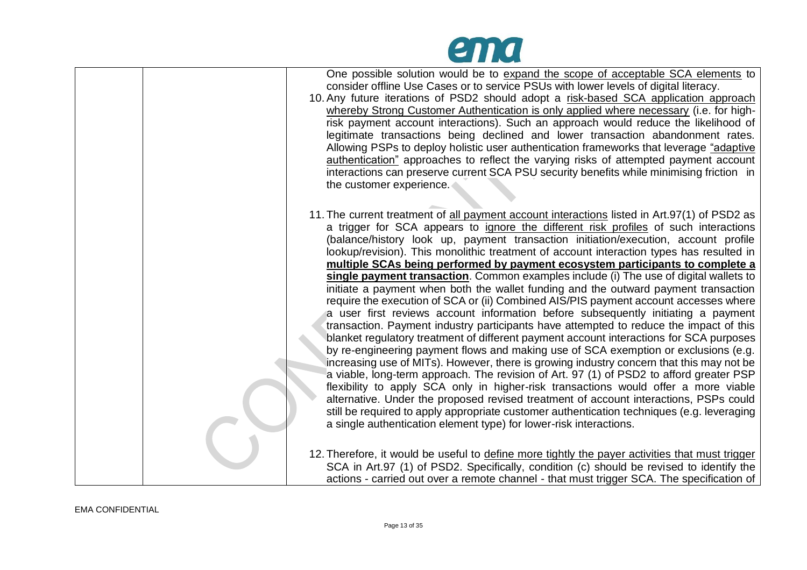| One possible solution would be to expand the scope of acceptable SCA elements to<br>consider offline Use Cases or to service PSUs with lower levels of digital literacy.<br>10. Any future iterations of PSD2 should adopt a risk-based SCA application approach<br>whereby Strong Customer Authentication is only applied where necessary (i.e. for high-<br>risk payment account interactions). Such an approach would reduce the likelihood of<br>legitimate transactions being declined and lower transaction abandonment rates.<br>Allowing PSPs to deploy holistic user authentication frameworks that leverage "adaptive"<br><u>authentication</u> " approaches to reflect the varying risks of attempted payment account<br>interactions can preserve current SCA PSU security benefits while minimising friction in<br>the customer experience.                                                                                                                                                                                                                                                                                                                                                                                                                                                                                                                                                                                                                                                                                                                                                                                     |
|----------------------------------------------------------------------------------------------------------------------------------------------------------------------------------------------------------------------------------------------------------------------------------------------------------------------------------------------------------------------------------------------------------------------------------------------------------------------------------------------------------------------------------------------------------------------------------------------------------------------------------------------------------------------------------------------------------------------------------------------------------------------------------------------------------------------------------------------------------------------------------------------------------------------------------------------------------------------------------------------------------------------------------------------------------------------------------------------------------------------------------------------------------------------------------------------------------------------------------------------------------------------------------------------------------------------------------------------------------------------------------------------------------------------------------------------------------------------------------------------------------------------------------------------------------------------------------------------------------------------------------------------|
| 11. The current treatment of all payment account interactions listed in Art.97(1) of PSD2 as<br>a trigger for SCA appears to ignore the different risk profiles of such interactions<br>(balance/history look up, payment transaction initiation/execution, account profile<br>lookup/revision). This monolithic treatment of account interaction types has resulted in<br>multiple SCAs being performed by payment ecosystem participants to complete a<br>single payment transaction. Common examples include (i) The use of digital wallets to<br>initiate a payment when both the wallet funding and the outward payment transaction<br>require the execution of SCA or (ii) Combined AIS/PIS payment account accesses where<br>a user first reviews account information before subsequently initiating a payment<br>transaction. Payment industry participants have attempted to reduce the impact of this<br>blanket regulatory treatment of different payment account interactions for SCA purposes<br>by re-engineering payment flows and making use of SCA exemption or exclusions (e.g.<br>increasing use of MITs). However, there is growing industry concern that this may not be<br>a viable, long-term approach. The revision of Art. 97 (1) of PSD2 to afford greater PSP<br>flexibility to apply SCA only in higher-risk transactions would offer a more viable<br>alternative. Under the proposed revised treatment of account interactions, PSPs could<br>still be required to apply appropriate customer authentication techniques (e.g. leveraging<br>a single authentication element type) for lower-risk interactions. |
| 12. Therefore, it would be useful to define more tightly the payer activities that must trigger<br>SCA in Art.97 (1) of PSD2. Specifically, condition (c) should be revised to identify the<br>actions - carried out over a remote channel - that must trigger SCA. The specification of                                                                                                                                                                                                                                                                                                                                                                                                                                                                                                                                                                                                                                                                                                                                                                                                                                                                                                                                                                                                                                                                                                                                                                                                                                                                                                                                                     |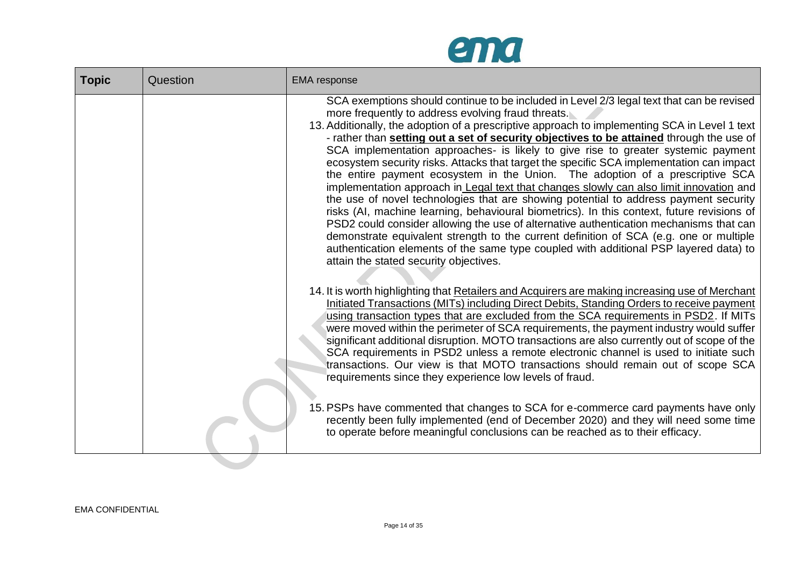

| <b>Topic</b> | Question | <b>EMA</b> response                                                                                                                                                                                                                                                                                                                                                                                                                                                                                                                                                                                                                                                                                                                                                                                                                                                                                                                                                                                                                                                                                                                                                                                                    |
|--------------|----------|------------------------------------------------------------------------------------------------------------------------------------------------------------------------------------------------------------------------------------------------------------------------------------------------------------------------------------------------------------------------------------------------------------------------------------------------------------------------------------------------------------------------------------------------------------------------------------------------------------------------------------------------------------------------------------------------------------------------------------------------------------------------------------------------------------------------------------------------------------------------------------------------------------------------------------------------------------------------------------------------------------------------------------------------------------------------------------------------------------------------------------------------------------------------------------------------------------------------|
|              |          | SCA exemptions should continue to be included in Level 2/3 legal text that can be revised<br>more frequently to address evolving fraud threats.<br>13. Additionally, the adoption of a prescriptive approach to implementing SCA in Level 1 text<br>- rather than setting out a set of security objectives to be attained through the use of<br>SCA implementation approaches- is likely to give rise to greater systemic payment<br>ecosystem security risks. Attacks that target the specific SCA implementation can impact<br>the entire payment ecosystem in the Union. The adoption of a prescriptive SCA<br>implementation approach in Legal text that changes slowly can also limit innovation and<br>the use of novel technologies that are showing potential to address payment security<br>risks (AI, machine learning, behavioural biometrics). In this context, future revisions of<br>PSD2 could consider allowing the use of alternative authentication mechanisms that can<br>demonstrate equivalent strength to the current definition of SCA (e.g. one or multiple<br>authentication elements of the same type coupled with additional PSP layered data) to<br>attain the stated security objectives. |
|              |          | 14. It is worth highlighting that Retailers and Acquirers are making increasing use of Merchant<br>Initiated Transactions (MITs) including Direct Debits, Standing Orders to receive payment<br>using transaction types that are excluded from the SCA requirements in PSD2. If MITs<br>were moved within the perimeter of SCA requirements, the payment industry would suffer<br>significant additional disruption. MOTO transactions are also currently out of scope of the<br>SCA requirements in PSD2 unless a remote electronic channel is used to initiate such<br>transactions. Our view is that MOTO transactions should remain out of scope SCA<br>requirements since they experience low levels of fraud.<br>15. PSPs have commented that changes to SCA for e-commerce card payments have only<br>recently been fully implemented (end of December 2020) and they will need some time<br>to operate before meaningful conclusions can be reached as to their efficacy.                                                                                                                                                                                                                                      |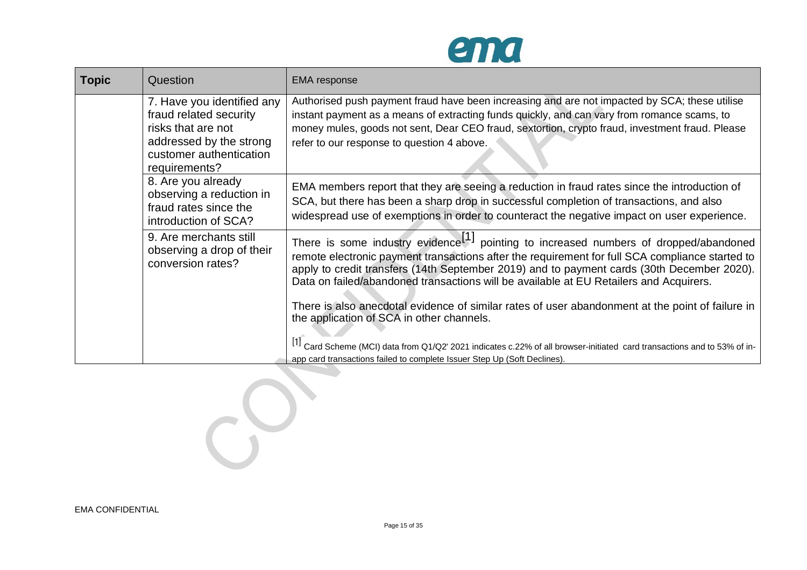

| <b>Topic</b> | Question                                                                                                                                          | <b>EMA</b> response                                                                                                                                                                                                                                                                                                                                                                                                                                                                                                                           |
|--------------|---------------------------------------------------------------------------------------------------------------------------------------------------|-----------------------------------------------------------------------------------------------------------------------------------------------------------------------------------------------------------------------------------------------------------------------------------------------------------------------------------------------------------------------------------------------------------------------------------------------------------------------------------------------------------------------------------------------|
|              | 7. Have you identified any<br>fraud related security<br>risks that are not<br>addressed by the strong<br>customer authentication<br>requirements? | Authorised push payment fraud have been increasing and are not impacted by SCA; these utilise<br>instant payment as a means of extracting funds quickly, and can vary from romance scams, to<br>money mules, goods not sent, Dear CEO fraud, sextortion, crypto fraud, investment fraud. Please<br>refer to our response to question 4 above.                                                                                                                                                                                                 |
|              | 8. Are you already<br>observing a reduction in<br>fraud rates since the<br>introduction of SCA?                                                   | EMA members report that they are seeing a reduction in fraud rates since the introduction of<br>SCA, but there has been a sharp drop in successful completion of transactions, and also<br>widespread use of exemptions in order to counteract the negative impact on user experience.                                                                                                                                                                                                                                                        |
|              | 9. Are merchants still<br>observing a drop of their<br>conversion rates?                                                                          | There is some industry evidence <sup>[1]</sup> pointing to increased numbers of dropped/abandoned<br>remote electronic payment transactions after the requirement for full SCA compliance started to<br>apply to credit transfers (14th September 2019) and to payment cards (30th December 2020).<br>Data on failed/abandoned transactions will be available at EU Retailers and Acquirers.<br>There is also anecdotal evidence of similar rates of user abandonment at the point of failure in<br>the application of SCA in other channels. |
|              |                                                                                                                                                   | [1] Card Scheme (MCI) data from Q1/Q2' 2021 indicates c.22% of all browser-initiated card transactions and to 53% of in-<br>app card transactions failed to complete Issuer Step Up (Soft Declines).                                                                                                                                                                                                                                                                                                                                          |

00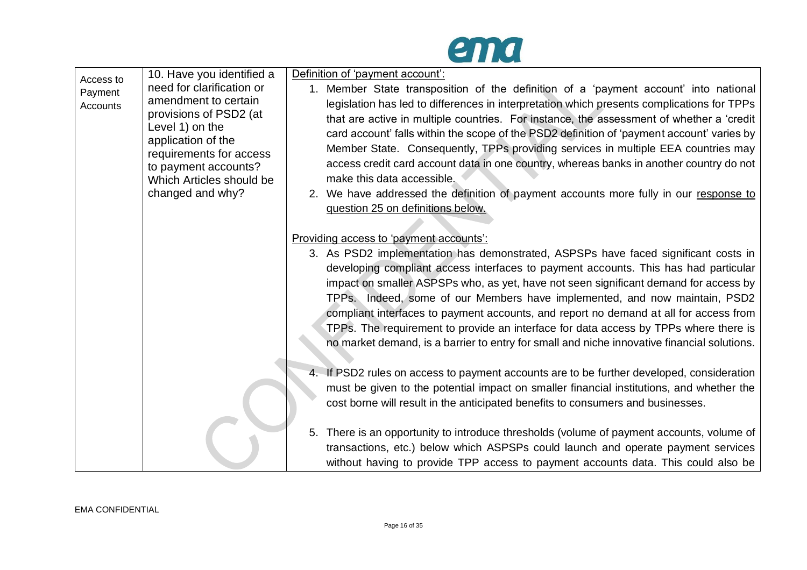

| Access to<br>Payment<br>Accounts | 10. Have you identified a<br>need for clarification or<br>amendment to certain<br>provisions of PSD2 (at<br>Level 1) on the<br>application of the<br>requirements for access<br>to payment accounts?<br>Which Articles should be<br>changed and why? | Definition of 'payment account':<br>Member State transposition of the definition of a 'payment account' into national<br>legislation has led to differences in interpretation which presents complications for TPPs<br>that are active in multiple countries. For instance, the assessment of whether a 'credit<br>card account' falls within the scope of the PSD2 definition of 'payment account' varies by<br>Member State. Consequently, TPPs providing services in multiple EEA countries may<br>access credit card account data in one country, whereas banks in another country do not<br>make this data accessible.<br>2. We have addressed the definition of payment accounts more fully in our response to<br>question 25 on definitions below. |
|----------------------------------|------------------------------------------------------------------------------------------------------------------------------------------------------------------------------------------------------------------------------------------------------|-----------------------------------------------------------------------------------------------------------------------------------------------------------------------------------------------------------------------------------------------------------------------------------------------------------------------------------------------------------------------------------------------------------------------------------------------------------------------------------------------------------------------------------------------------------------------------------------------------------------------------------------------------------------------------------------------------------------------------------------------------------|
|                                  |                                                                                                                                                                                                                                                      | Providing access to 'payment accounts':<br>3. As PSD2 implementation has demonstrated, ASPSPs have faced significant costs in<br>developing compliant access interfaces to payment accounts. This has had particular<br>impact on smaller ASPSPs who, as yet, have not seen significant demand for access by<br>TPPs. Indeed, some of our Members have implemented, and now maintain, PSD2<br>compliant interfaces to payment accounts, and report no demand at all for access from<br>TPPs. The requirement to provide an interface for data access by TPPs where there is<br>no market demand, is a barrier to entry for small and niche innovative financial solutions.                                                                                |
|                                  |                                                                                                                                                                                                                                                      | 4. If PSD2 rules on access to payment accounts are to be further developed, consideration<br>must be given to the potential impact on smaller financial institutions, and whether the<br>cost borne will result in the anticipated benefits to consumers and businesses.                                                                                                                                                                                                                                                                                                                                                                                                                                                                                  |
|                                  |                                                                                                                                                                                                                                                      | 5. There is an opportunity to introduce thresholds (volume of payment accounts, volume of<br>transactions, etc.) below which ASPSPs could launch and operate payment services<br>without having to provide TPP access to payment accounts data. This could also be                                                                                                                                                                                                                                                                                                                                                                                                                                                                                        |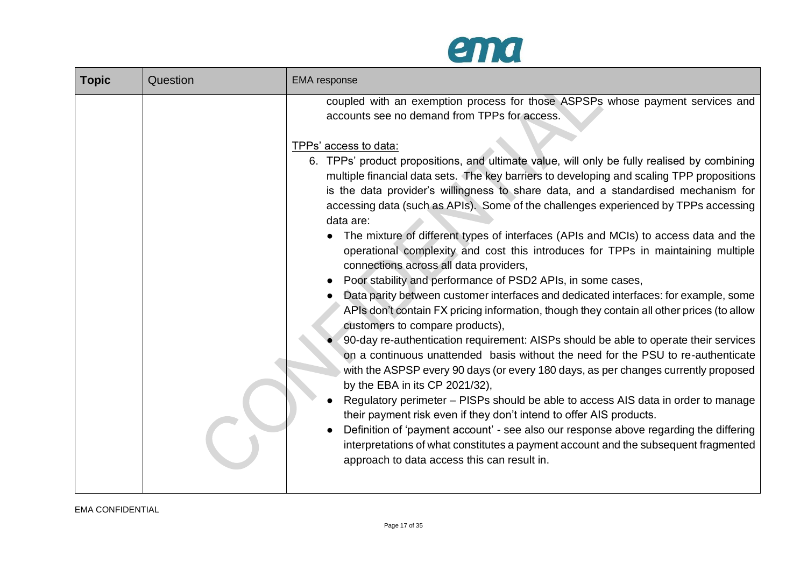

| <b>Topic</b> | Question | <b>EMA</b> response                                                                                                                                                                                                                                                                                                                                                                                                                                                                                                                                                                                                                                                                                                                                                                                                                                                                                                                                                                                                                                                                                                                                                                                                                                                                                                                                                                                                                                                                                                                                                                                                                                                                                                                                    |
|--------------|----------|--------------------------------------------------------------------------------------------------------------------------------------------------------------------------------------------------------------------------------------------------------------------------------------------------------------------------------------------------------------------------------------------------------------------------------------------------------------------------------------------------------------------------------------------------------------------------------------------------------------------------------------------------------------------------------------------------------------------------------------------------------------------------------------------------------------------------------------------------------------------------------------------------------------------------------------------------------------------------------------------------------------------------------------------------------------------------------------------------------------------------------------------------------------------------------------------------------------------------------------------------------------------------------------------------------------------------------------------------------------------------------------------------------------------------------------------------------------------------------------------------------------------------------------------------------------------------------------------------------------------------------------------------------------------------------------------------------------------------------------------------------|
|              |          | coupled with an exemption process for those ASPSPs whose payment services and<br>accounts see no demand from TPPs for access.<br>TPPs' access to data:<br>6. TPPs' product propositions, and ultimate value, will only be fully realised by combining<br>multiple financial data sets. The key barriers to developing and scaling TPP propositions<br>is the data provider's willingness to share data, and a standardised mechanism for<br>accessing data (such as APIs). Some of the challenges experienced by TPPs accessing<br>data are:<br>The mixture of different types of interfaces (APIs and MCIs) to access data and the<br>operational complexity and cost this introduces for TPPs in maintaining multiple<br>connections across all data providers,<br>Poor stability and performance of PSD2 APIs, in some cases,<br>Data parity between customer interfaces and dedicated interfaces: for example, some<br>APIs don't contain FX pricing information, though they contain all other prices (to allow<br>customers to compare products),<br>90-day re-authentication requirement: AISPs should be able to operate their services<br>on a continuous unattended basis without the need for the PSU to re-authenticate<br>with the ASPSP every 90 days (or every 180 days, as per changes currently proposed<br>by the EBA in its CP 2021/32),<br>Regulatory perimeter – PISPs should be able to access AIS data in order to manage<br>their payment risk even if they don't intend to offer AIS products.<br>Definition of 'payment account' - see also our response above regarding the differing<br>interpretations of what constitutes a payment account and the subsequent fragmented<br>approach to data access this can result in. |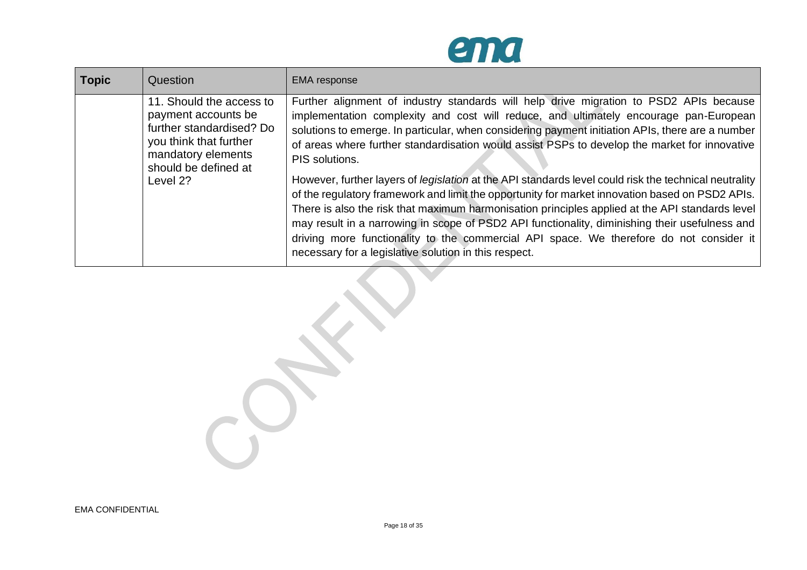

| <b>Topic</b> | Question                                                                                                                                                        | <b>EMA</b> response                                                                                                                                                                                                                                                                                                                                                                                                                                                                                                                                                                                                                                                                                                                                                                                                                                                                                                                                                                |
|--------------|-----------------------------------------------------------------------------------------------------------------------------------------------------------------|------------------------------------------------------------------------------------------------------------------------------------------------------------------------------------------------------------------------------------------------------------------------------------------------------------------------------------------------------------------------------------------------------------------------------------------------------------------------------------------------------------------------------------------------------------------------------------------------------------------------------------------------------------------------------------------------------------------------------------------------------------------------------------------------------------------------------------------------------------------------------------------------------------------------------------------------------------------------------------|
|              | 11. Should the access to<br>payment accounts be<br>further standardised? Do<br>you think that further<br>mandatory elements<br>should be defined at<br>Level 2? | Further alignment of industry standards will help drive migration to PSD2 APIs because<br>implementation complexity and cost will reduce, and ultimately encourage pan-European<br>solutions to emerge. In particular, when considering payment initiation APIs, there are a number<br>of areas where further standardisation would assist PSPs to develop the market for innovative<br>PIS solutions.<br>However, further layers of <i>legislation</i> at the API standards level could risk the technical neutrality<br>of the regulatory framework and limit the opportunity for market innovation based on PSD2 APIs.<br>There is also the risk that maximum harmonisation principles applied at the API standards level<br>may result in a narrowing in scope of PSD2 API functionality, diminishing their usefulness and<br>driving more functionality to the commercial API space. We therefore do not consider it<br>necessary for a legislative solution in this respect. |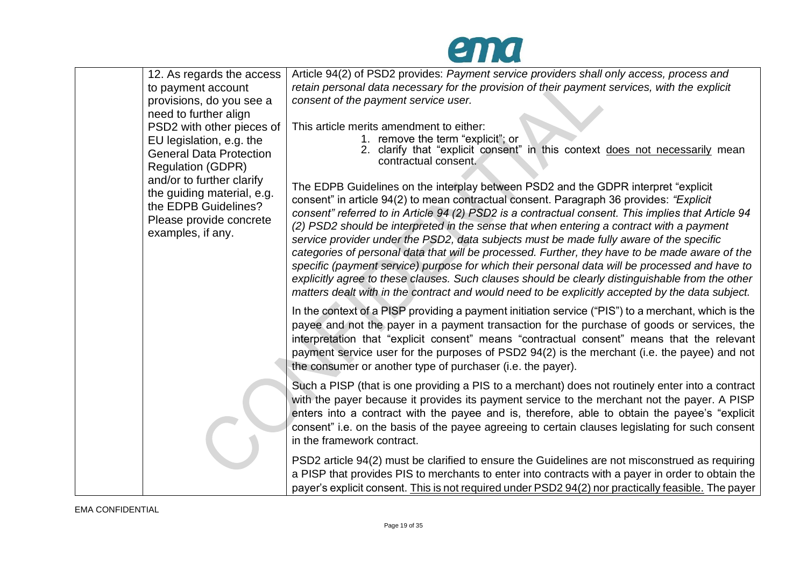

| 12. As regards the access                               | Article 94(2) of PSD2 provides: Payment service providers shall only access, process and                                                                                                           |
|---------------------------------------------------------|----------------------------------------------------------------------------------------------------------------------------------------------------------------------------------------------------|
| to payment account                                      | retain personal data necessary for the provision of their payment services, with the explicit                                                                                                      |
| provisions, do you see a                                | consent of the payment service user.                                                                                                                                                               |
| need to further align                                   |                                                                                                                                                                                                    |
| PSD2 with other pieces of                               | This article merits amendment to either:                                                                                                                                                           |
| EU legislation, e.g. the                                | 1. remove the term "explicit"; or<br>2. clarify that "explicit consent" in this context does not necessarily mean                                                                                  |
| <b>General Data Protection</b>                          | contractual consent.                                                                                                                                                                               |
| <b>Regulation (GDPR)</b>                                |                                                                                                                                                                                                    |
| and/or to further clarify<br>the guiding material, e.g. | The EDPB Guidelines on the interplay between PSD2 and the GDPR interpret "explicit"                                                                                                                |
| the EDPB Guidelines?                                    | consent" in article 94(2) to mean contractual consent. Paragraph 36 provides: "Explicit                                                                                                            |
| Please provide concrete                                 | consent" referred to in Article 94 (2) PSD2 is a contractual consent. This implies that Article 94                                                                                                 |
| examples, if any.                                       | (2) PSD2 should be interpreted in the sense that when entering a contract with a payment                                                                                                           |
|                                                         | service provider under the PSD2, data subjects must be made fully aware of the specific                                                                                                            |
|                                                         | categories of personal data that will be processed. Further, they have to be made aware of the<br>specific (payment service) purpose for which their personal data will be processed and have to   |
|                                                         | explicitly agree to these clauses. Such clauses should be clearly distinguishable from the other                                                                                                   |
|                                                         | matters dealt with in the contract and would need to be explicitly accepted by the data subject.                                                                                                   |
|                                                         |                                                                                                                                                                                                    |
|                                                         | In the context of a PISP providing a payment initiation service ("PIS") to a merchant, which is the<br>payee and not the payer in a payment transaction for the purchase of goods or services, the |
|                                                         | interpretation that "explicit consent" means "contractual consent" means that the relevant                                                                                                         |
|                                                         | payment service user for the purposes of PSD2 94(2) is the merchant (i.e. the payee) and not                                                                                                       |
|                                                         | the consumer or another type of purchaser (i.e. the payer).                                                                                                                                        |
|                                                         |                                                                                                                                                                                                    |
|                                                         | Such a PISP (that is one providing a PIS to a merchant) does not routinely enter into a contract                                                                                                   |
|                                                         | with the payer because it provides its payment service to the merchant not the payer. A PISP                                                                                                       |
|                                                         | enters into a contract with the payee and is, therefore, able to obtain the payee's "explicit                                                                                                      |
|                                                         | consent" i.e. on the basis of the payee agreeing to certain clauses legislating for such consent<br>in the framework contract.                                                                     |
|                                                         |                                                                                                                                                                                                    |
|                                                         | PSD2 article 94(2) must be clarified to ensure the Guidelines are not misconstrued as requiring                                                                                                    |
|                                                         | a PISP that provides PIS to merchants to enter into contracts with a payer in order to obtain the                                                                                                  |
|                                                         | payer's explicit consent. This is not required under PSD2 94(2) nor practically feasible. The payer                                                                                                |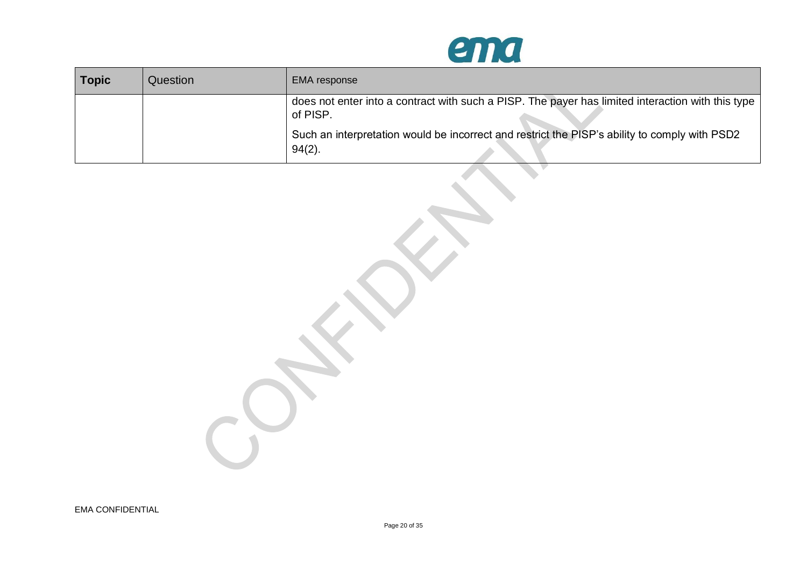

| <b>Topic</b> | Question | <b>EMA</b> response                                                                                           |
|--------------|----------|---------------------------------------------------------------------------------------------------------------|
|              |          | does not enter into a contract with such a PISP. The payer has limited interaction with this type<br>of PISP. |
|              |          | Such an interpretation would be incorrect and restrict the PISP's ability to comply with PSD2<br>$94(2)$ .    |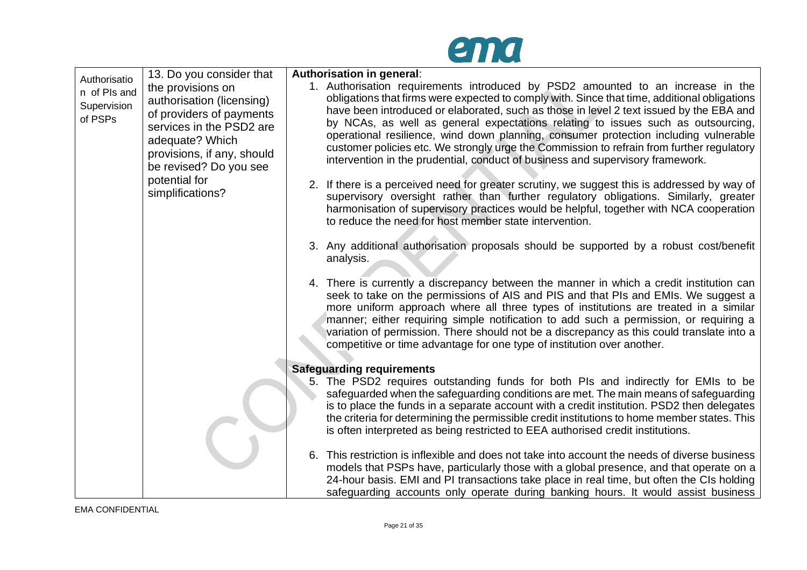

| Authorisatio | 13. Do you consider that                             | Authorisation in general:                                                                                                                                                               |
|--------------|------------------------------------------------------|-----------------------------------------------------------------------------------------------------------------------------------------------------------------------------------------|
| n of PIs and | the provisions on                                    | 1. Authorisation requirements introduced by PSD2 amounted to an increase in the                                                                                                         |
| Supervision  | authorisation (licensing)                            | obligations that firms were expected to comply with. Since that time, additional obligations<br>have been introduced or elaborated, such as those in level 2 text issued by the EBA and |
| of PSPs      | of providers of payments<br>services in the PSD2 are | by NCAs, as well as general expectations relating to issues such as outsourcing,                                                                                                        |
|              | adequate? Which                                      | operational resilience, wind down planning, consumer protection including vulnerable                                                                                                    |
|              | provisions, if any, should<br>be revised? Do you see | customer policies etc. We strongly urge the Commission to refrain from further regulatory<br>intervention in the prudential, conduct of business and supervisory framework.             |
|              | potential for                                        | 2. If there is a perceived need for greater scrutiny, we suggest this is addressed by way of                                                                                            |
|              | simplifications?                                     | supervisory oversight rather than further regulatory obligations. Similarly, greater                                                                                                    |
|              |                                                      | harmonisation of supervisory practices would be helpful, together with NCA cooperation<br>to reduce the need for host member state intervention.                                        |
|              |                                                      |                                                                                                                                                                                         |
|              |                                                      | 3. Any additional authorisation proposals should be supported by a robust cost/benefit<br>analysis.                                                                                     |
|              |                                                      |                                                                                                                                                                                         |
|              |                                                      | 4. There is currently a discrepancy between the manner in which a credit institution can<br>seek to take on the permissions of AIS and PIS and that PIs and EMIs. We suggest a          |
|              |                                                      | more uniform approach where all three types of institutions are treated in a similar<br>manner; either requiring simple notification to add such a permission, or requiring a           |
|              |                                                      | variation of permission. There should not be a discrepancy as this could translate into a                                                                                               |
|              |                                                      | competitive or time advantage for one type of institution over another.                                                                                                                 |
|              |                                                      | <b>Safeguarding requirements</b>                                                                                                                                                        |
|              |                                                      | 5. The PSD2 requires outstanding funds for both PIs and indirectly for EMIs to be<br>safeguarded when the safeguarding conditions are met. The main means of safeguarding               |
|              |                                                      | is to place the funds in a separate account with a credit institution. PSD2 then delegates                                                                                              |
|              |                                                      | the criteria for determining the permissible credit institutions to home member states. This<br>is often interpreted as being restricted to EEA authorised credit institutions.         |
|              |                                                      |                                                                                                                                                                                         |
|              |                                                      | 6. This restriction is inflexible and does not take into account the needs of diverse business                                                                                          |
|              |                                                      | models that PSPs have, particularly those with a global presence, and that operate on a<br>24-hour basis. EMI and PI transactions take place in real time, but often the CIs holding    |
|              |                                                      | safeguarding accounts only operate during banking hours. It would assist business                                                                                                       |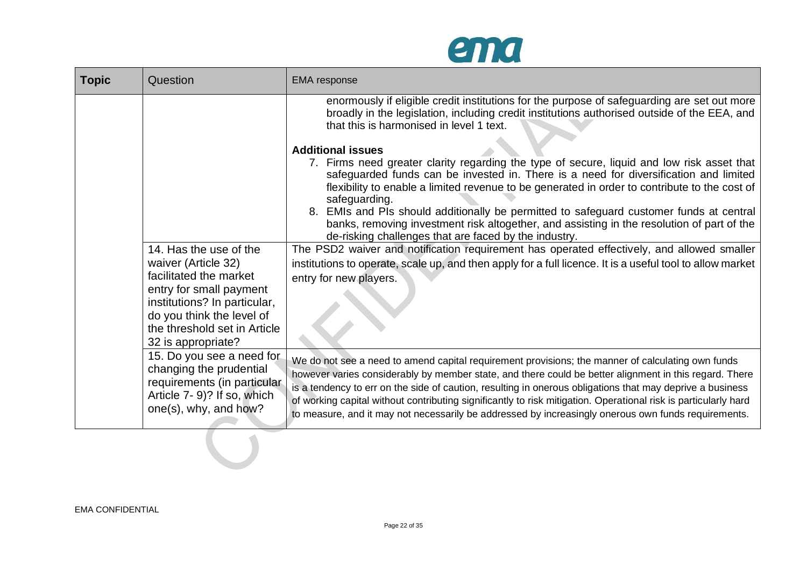

| <b>Topic</b> | Question                                                                                                                                                                                                              | <b>EMA</b> response                                                                                                                                                                                                                                                                                                                                                                                                                                                                                                                                |
|--------------|-----------------------------------------------------------------------------------------------------------------------------------------------------------------------------------------------------------------------|----------------------------------------------------------------------------------------------------------------------------------------------------------------------------------------------------------------------------------------------------------------------------------------------------------------------------------------------------------------------------------------------------------------------------------------------------------------------------------------------------------------------------------------------------|
|              |                                                                                                                                                                                                                       | enormously if eligible credit institutions for the purpose of safeguarding are set out more<br>broadly in the legislation, including credit institutions authorised outside of the EEA, and<br>that this is harmonised in level 1 text.                                                                                                                                                                                                                                                                                                            |
|              |                                                                                                                                                                                                                       | <b>Additional issues</b><br>7. Firms need greater clarity regarding the type of secure, liquid and low risk asset that<br>safeguarded funds can be invested in. There is a need for diversification and limited<br>flexibility to enable a limited revenue to be generated in order to contribute to the cost of<br>safeguarding.<br>8. EMIs and PIs should additionally be permitted to safeguard customer funds at central                                                                                                                       |
|              |                                                                                                                                                                                                                       | banks, removing investment risk altogether, and assisting in the resolution of part of the<br>de-risking challenges that are faced by the industry.                                                                                                                                                                                                                                                                                                                                                                                                |
|              | 14. Has the use of the<br>waiver (Article 32)<br>facilitated the market<br>entry for small payment<br>institutions? In particular,<br>do you think the level of<br>the threshold set in Article<br>32 is appropriate? | The PSD2 waiver and notification requirement has operated effectively, and allowed smaller<br>institutions to operate, scale up, and then apply for a full licence. It is a useful tool to allow market<br>entry for new players.                                                                                                                                                                                                                                                                                                                  |
|              | 15. Do you see a need for<br>changing the prudential<br>requirements (in particular<br>Article 7-9)? If so, which<br>one(s), why, and how?                                                                            | We do not see a need to amend capital requirement provisions; the manner of calculating own funds<br>however varies considerably by member state, and there could be better alignment in this regard. There<br>is a tendency to err on the side of caution, resulting in onerous obligations that may deprive a business<br>of working capital without contributing significantly to risk mitigation. Operational risk is particularly hard<br>to measure, and it may not necessarily be addressed by increasingly onerous own funds requirements. |
|              |                                                                                                                                                                                                                       |                                                                                                                                                                                                                                                                                                                                                                                                                                                                                                                                                    |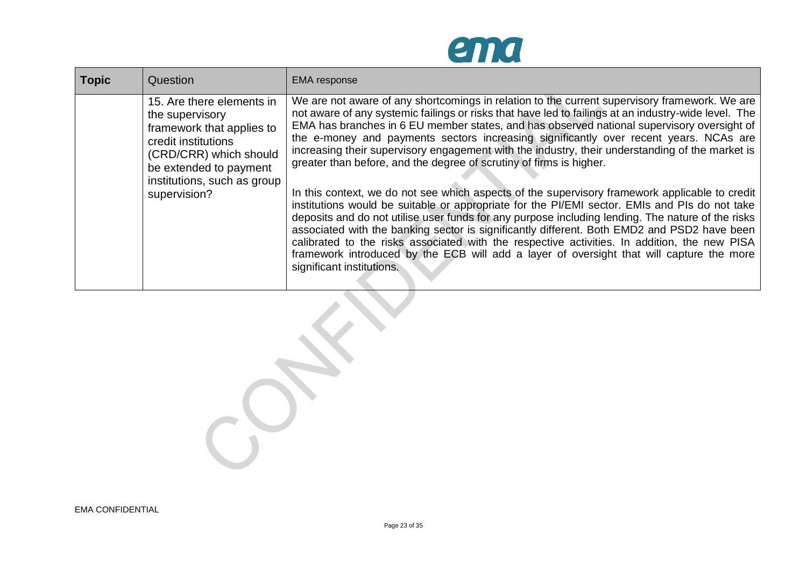

| <b>Topic</b> | Question                                                                                                                                                                                            | <b>EMA</b> response                                                                                                                                                                                                                                                                                                                                                                                                                                                                                                                                                                                                                                                                                                                                                                                                                                                                                                                                                                                                                                                                                                                                                                                    |
|--------------|-----------------------------------------------------------------------------------------------------------------------------------------------------------------------------------------------------|--------------------------------------------------------------------------------------------------------------------------------------------------------------------------------------------------------------------------------------------------------------------------------------------------------------------------------------------------------------------------------------------------------------------------------------------------------------------------------------------------------------------------------------------------------------------------------------------------------------------------------------------------------------------------------------------------------------------------------------------------------------------------------------------------------------------------------------------------------------------------------------------------------------------------------------------------------------------------------------------------------------------------------------------------------------------------------------------------------------------------------------------------------------------------------------------------------|
|              | 15. Are there elements in<br>the supervisory<br>framework that applies to<br>credit institutions<br>(CRD/CRR) which should<br>be extended to payment<br>institutions, such as group<br>supervision? | We are not aware of any shortcomings in relation to the current supervisory framework. We are<br>not aware of any systemic failings or risks that have led to failings at an industry-wide level. The<br>EMA has branches in 6 EU member states, and has observed national supervisory oversight of<br>the e-money and payments sectors increasing significantly over recent years. NCAs are<br>increasing their supervisory engagement with the industry, their understanding of the market is<br>greater than before, and the degree of scrutiny of firms is higher.<br>In this context, we do not see which aspects of the supervisory framework applicable to credit<br>institutions would be suitable or appropriate for the PI/EMI sector. EMIs and PIs do not take<br>deposits and do not utilise user funds for any purpose including lending. The nature of the risks<br>associated with the banking sector is significantly different. Both EMD2 and PSD2 have been<br>calibrated to the risks associated with the respective activities. In addition, the new PISA<br>framework introduced by the ECB will add a layer of oversight that will capture the more<br>significant institutions. |

 $\overline{\phantom{a}}$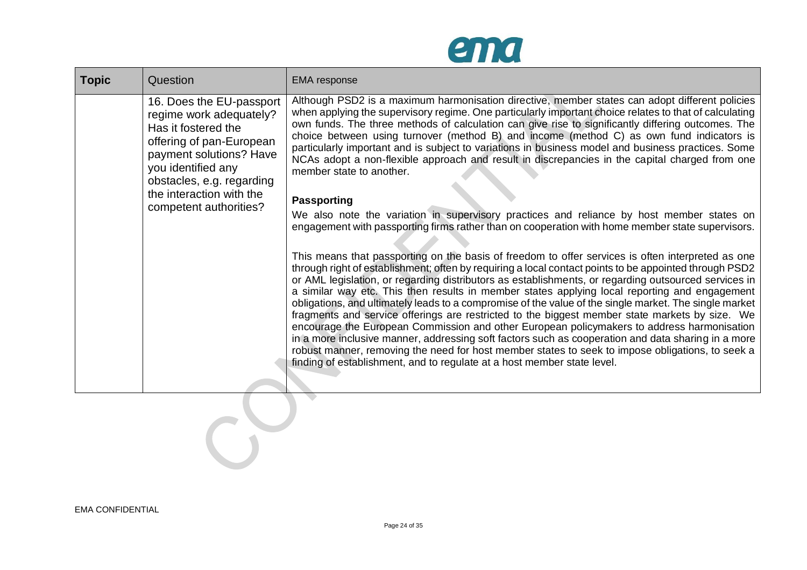

| <b>Topic</b> | Question                                                                                                                                                                                                         | <b>EMA</b> response                                                                                                                                                                                                                                                                                                                                                                                                                                                                                                                                                                                                                                                                                                                                                                                                                                                                                                                                                                                                 |  |
|--------------|------------------------------------------------------------------------------------------------------------------------------------------------------------------------------------------------------------------|---------------------------------------------------------------------------------------------------------------------------------------------------------------------------------------------------------------------------------------------------------------------------------------------------------------------------------------------------------------------------------------------------------------------------------------------------------------------------------------------------------------------------------------------------------------------------------------------------------------------------------------------------------------------------------------------------------------------------------------------------------------------------------------------------------------------------------------------------------------------------------------------------------------------------------------------------------------------------------------------------------------------|--|
|              | 16. Does the EU-passport<br>regime work adequately?<br>Has it fostered the<br>offering of pan-European<br>payment solutions? Have<br>you identified any<br>obstacles, e.g. regarding<br>the interaction with the | Although PSD2 is a maximum harmonisation directive, member states can adopt different policies<br>when applying the supervisory regime. One particularly important choice relates to that of calculating<br>own funds. The three methods of calculation can give rise to significantly differing outcomes. The<br>choice between using turnover (method B) and income (method C) as own fund indicators is<br>particularly important and is subject to variations in business model and business practices. Some<br>NCAs adopt a non-flexible approach and result in discrepancies in the capital charged from one<br>member state to another.<br><b>Passporting</b>                                                                                                                                                                                                                                                                                                                                                |  |
|              | competent authorities?                                                                                                                                                                                           | We also note the variation in supervisory practices and reliance by host member states on<br>engagement with passporting firms rather than on cooperation with home member state supervisors.                                                                                                                                                                                                                                                                                                                                                                                                                                                                                                                                                                                                                                                                                                                                                                                                                       |  |
|              |                                                                                                                                                                                                                  | This means that passporting on the basis of freedom to offer services is often interpreted as one<br>through right of establishment; often by requiring a local contact points to be appointed through PSD2<br>or AML legislation, or regarding distributors as establishments, or regarding outsourced services in<br>a similar way etc. This then results in member states applying local reporting and engagement<br>obligations, and ultimately leads to a compromise of the value of the single market. The single market<br>fragments and service offerings are restricted to the biggest member state markets by size. We<br>encourage the European Commission and other European policymakers to address harmonisation<br>in a more inclusive manner, addressing soft factors such as cooperation and data sharing in a more<br>robust manner, removing the need for host member states to seek to impose obligations, to seek a<br>finding of establishment, and to regulate at a host member state level. |  |
|              |                                                                                                                                                                                                                  |                                                                                                                                                                                                                                                                                                                                                                                                                                                                                                                                                                                                                                                                                                                                                                                                                                                                                                                                                                                                                     |  |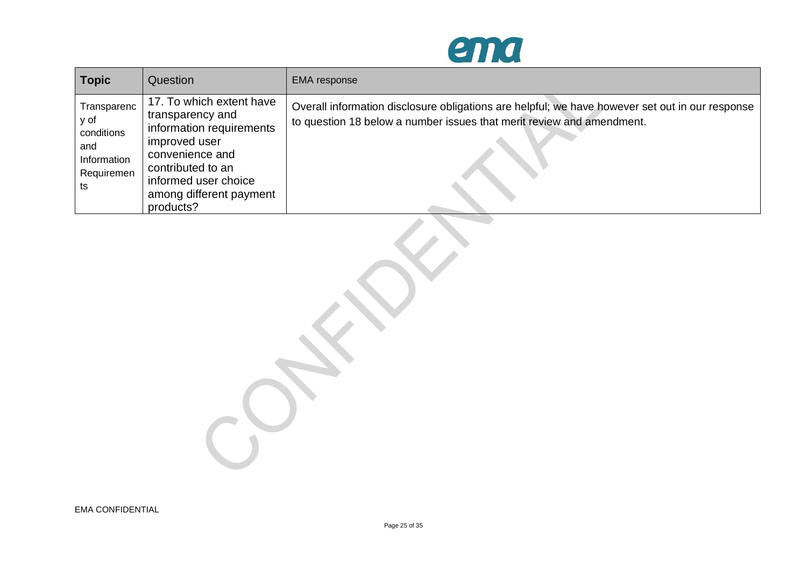

| <b>Topic</b>                                                                | Question                                                                                                                                                                                          | <b>EMA</b> response                                                                                                                                                      |
|-----------------------------------------------------------------------------|---------------------------------------------------------------------------------------------------------------------------------------------------------------------------------------------------|--------------------------------------------------------------------------------------------------------------------------------------------------------------------------|
| Transparenc<br>y of<br>conditions<br>and<br>Information<br>Requiremen<br>ts | 17. To which extent have<br>transparency and<br>information requirements<br>improved user<br>convenience and<br>contributed to an<br>informed user choice<br>among different payment<br>products? | Overall information disclosure obligations are helpful; we have however set out in our response<br>to question 18 below a number issues that merit review and amendment. |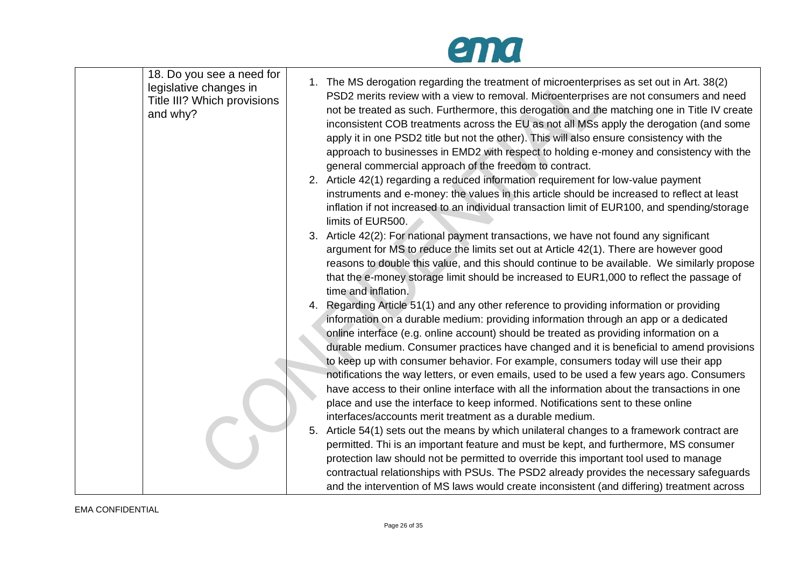## ema

| 18. Do you see a need for<br>legislative changes in<br>Title III? Which provisions<br>and why? | 1. The MS derogation regarding the treatment of microenterprises as set out in Art. 38(2)<br>PSD2 merits review with a view to removal. Microenterprises are not consumers and need<br>not be treated as such. Furthermore, this derogation and the matching one in Title IV create<br>inconsistent COB treatments across the EU as not all MSs apply the derogation (and some<br>apply it in one PSD2 title but not the other). This will also ensure consistency with the<br>approach to businesses in EMD2 with respect to holding e-money and consistency with the<br>general commercial approach of the freedom to contract.<br>2. Article 42(1) regarding a reduced information requirement for low-value payment<br>instruments and e-money: the values in this article should be increased to reflect at least<br>inflation if not increased to an individual transaction limit of EUR100, and spending/storage<br>limits of EUR500.                                                          |
|------------------------------------------------------------------------------------------------|-------------------------------------------------------------------------------------------------------------------------------------------------------------------------------------------------------------------------------------------------------------------------------------------------------------------------------------------------------------------------------------------------------------------------------------------------------------------------------------------------------------------------------------------------------------------------------------------------------------------------------------------------------------------------------------------------------------------------------------------------------------------------------------------------------------------------------------------------------------------------------------------------------------------------------------------------------------------------------------------------------|
|                                                                                                | 3. Article 42(2): For national payment transactions, we have not found any significant<br>argument for MS to reduce the limits set out at Article 42(1). There are however good<br>reasons to double this value, and this should continue to be available. We similarly propose<br>that the e-money storage limit should be increased to EUR1,000 to reflect the passage of<br>time and inflation.<br>4. Regarding Article 51(1) and any other reference to providing information or providing<br>information on a durable medium: providing information through an app or a dedicated<br>online interface (e.g. online account) should be treated as providing information on a                                                                                                                                                                                                                                                                                                                      |
|                                                                                                | durable medium. Consumer practices have changed and it is beneficial to amend provisions<br>to keep up with consumer behavior. For example, consumers today will use their app<br>notifications the way letters, or even emails, used to be used a few years ago. Consumers<br>have access to their online interface with all the information about the transactions in one<br>place and use the interface to keep informed. Notifications sent to these online<br>interfaces/accounts merit treatment as a durable medium.<br>5. Article 54(1) sets out the means by which unilateral changes to a framework contract are<br>permitted. Thi is an important feature and must be kept, and furthermore, MS consumer<br>protection law should not be permitted to override this important tool used to manage<br>contractual relationships with PSUs. The PSD2 already provides the necessary safeguards<br>and the intervention of MS laws would create inconsistent (and differing) treatment across |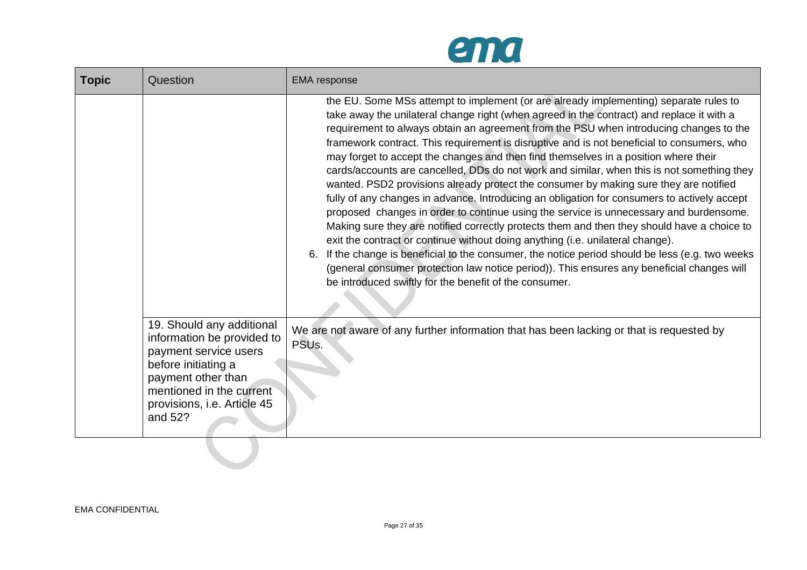

| <b>Topic</b> | Question                                                                                                                                                                                            | <b>EMA</b> response                                                                                                                                                                                                                                                                                                                                                                                                                                                                                                                                                                                                                                                                                                                                                                                                                                                                                                                                                                                                                                                                                                                                                                                                                                                                               |
|--------------|-----------------------------------------------------------------------------------------------------------------------------------------------------------------------------------------------------|---------------------------------------------------------------------------------------------------------------------------------------------------------------------------------------------------------------------------------------------------------------------------------------------------------------------------------------------------------------------------------------------------------------------------------------------------------------------------------------------------------------------------------------------------------------------------------------------------------------------------------------------------------------------------------------------------------------------------------------------------------------------------------------------------------------------------------------------------------------------------------------------------------------------------------------------------------------------------------------------------------------------------------------------------------------------------------------------------------------------------------------------------------------------------------------------------------------------------------------------------------------------------------------------------|
|              |                                                                                                                                                                                                     | the EU. Some MSs attempt to implement (or are already implementing) separate rules to<br>take away the unilateral change right (when agreed in the contract) and replace it with a<br>requirement to always obtain an agreement from the PSU when introducing changes to the<br>framework contract. This requirement is disruptive and is not beneficial to consumers, who<br>may forget to accept the changes and then find themselves in a position where their<br>cards/accounts are cancelled, DDs do not work and similar, when this is not something they<br>wanted. PSD2 provisions already protect the consumer by making sure they are notified<br>fully of any changes in advance. Introducing an obligation for consumers to actively accept<br>proposed changes in order to continue using the service is unnecessary and burdensome.<br>Making sure they are notified correctly protects them and then they should have a choice to<br>exit the contract or continue without doing anything (i.e. unilateral change).<br>If the change is beneficial to the consumer, the notice period should be less (e.g. two weeks<br>6.<br>(general consumer protection law notice period)). This ensures any beneficial changes will<br>be introduced swiftly for the benefit of the consumer. |
|              | 19. Should any additional<br>information be provided to<br>payment service users<br>before initiating a<br>payment other than<br>mentioned in the current<br>provisions, i.e. Article 45<br>and 52? | We are not aware of any further information that has been lacking or that is requested by<br>PSU <sub>s.</sub>                                                                                                                                                                                                                                                                                                                                                                                                                                                                                                                                                                                                                                                                                                                                                                                                                                                                                                                                                                                                                                                                                                                                                                                    |

 $\mathcal{L}(\mathcal{A})$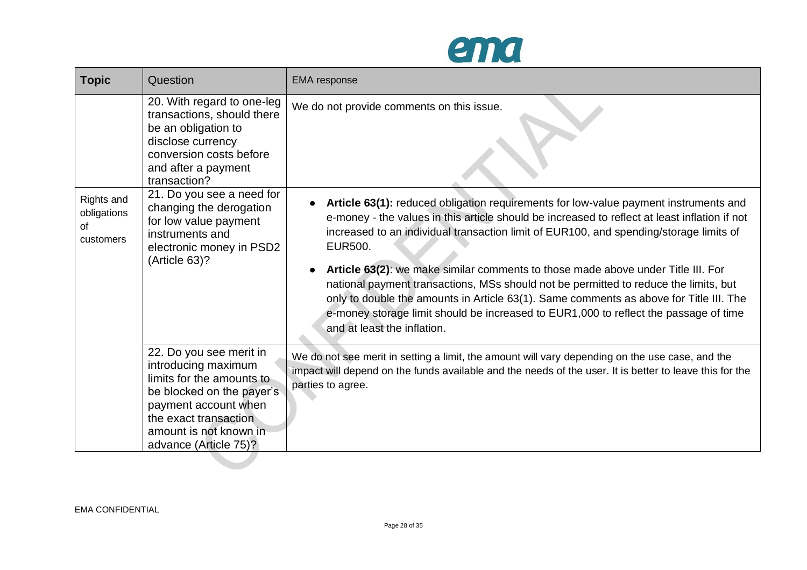

| <b>Topic</b>                                 | Question                                                                                                                                                                                                     | <b>EMA</b> response                                                                                                                                                                                                                                                                                                                                                                                                                                                                                                                                                                                                                                                                     |
|----------------------------------------------|--------------------------------------------------------------------------------------------------------------------------------------------------------------------------------------------------------------|-----------------------------------------------------------------------------------------------------------------------------------------------------------------------------------------------------------------------------------------------------------------------------------------------------------------------------------------------------------------------------------------------------------------------------------------------------------------------------------------------------------------------------------------------------------------------------------------------------------------------------------------------------------------------------------------|
|                                              | 20. With regard to one-leg<br>transactions, should there<br>be an obligation to<br>disclose currency<br>conversion costs before<br>and after a payment<br>transaction?                                       | We do not provide comments on this issue.                                                                                                                                                                                                                                                                                                                                                                                                                                                                                                                                                                                                                                               |
| Rights and<br>obligations<br>of<br>customers | 21. Do you see a need for<br>changing the derogation<br>for low value payment<br>instruments and<br>electronic money in PSD2<br>(Article 63)?                                                                | Article 63(1): reduced obligation requirements for low-value payment instruments and<br>e-money - the values in this article should be increased to reflect at least inflation if not<br>increased to an individual transaction limit of EUR100, and spending/storage limits of<br>EUR500.<br>Article 63(2): we make similar comments to those made above under Title III. For<br>national payment transactions, MSs should not be permitted to reduce the limits, but<br>only to double the amounts in Article 63(1). Same comments as above for Title III. The<br>e-money storage limit should be increased to EUR1,000 to reflect the passage of time<br>and at least the inflation. |
|                                              | 22. Do you see merit in<br>introducing maximum<br>limits for the amounts to<br>be blocked on the payer's<br>payment account when<br>the exact transaction<br>amount is not known in<br>advance (Article 75)? | We do not see merit in setting a limit, the amount will vary depending on the use case, and the<br>impact will depend on the funds available and the needs of the user. It is better to leave this for the<br>parties to agree.                                                                                                                                                                                                                                                                                                                                                                                                                                                         |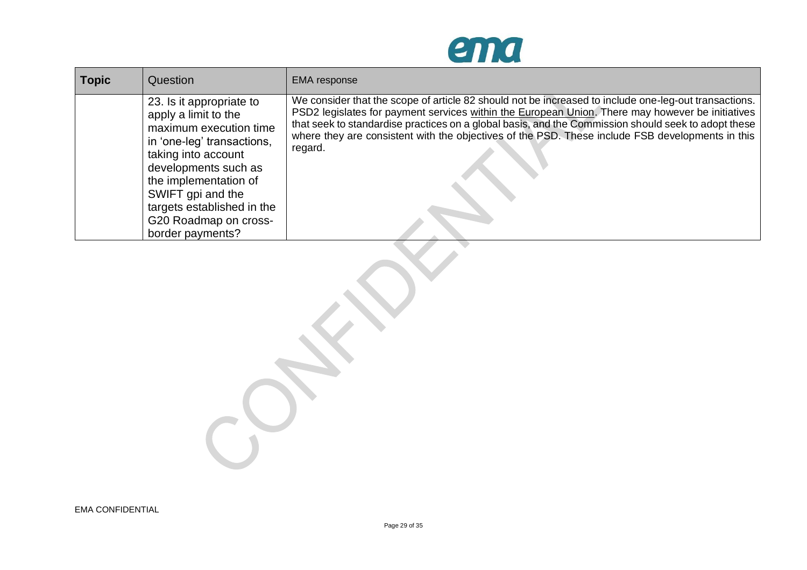

| <b>Topic</b> | Question                                                                                                                                                                                                                                                                         | <b>EMA</b> response                                                                                                                                                                                                                                                                                                                                                                                                             |
|--------------|----------------------------------------------------------------------------------------------------------------------------------------------------------------------------------------------------------------------------------------------------------------------------------|---------------------------------------------------------------------------------------------------------------------------------------------------------------------------------------------------------------------------------------------------------------------------------------------------------------------------------------------------------------------------------------------------------------------------------|
|              | 23. Is it appropriate to<br>apply a limit to the<br>maximum execution time<br>in 'one-leg' transactions,<br>taking into account<br>developments such as<br>the implementation of<br>SWIFT gpi and the<br>targets established in the<br>G20 Roadmap on cross-<br>border payments? | We consider that the scope of article 82 should not be increased to include one-leg-out transactions.<br>PSD2 legislates for payment services within the European Union. There may however be initiatives<br>that seek to standardise practices on a global basis, and the Commission should seek to adopt these<br>where they are consistent with the objectives of the PSD. These include FSB developments in this<br>regard. |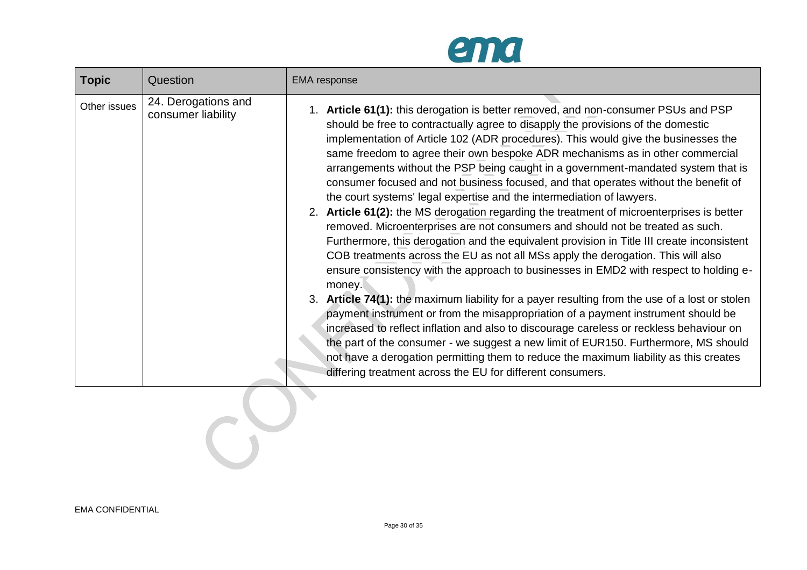

| <b>Topic</b> | Question                                  | <b>EMA</b> response                                                                                                                                                                                                                                                                                                                                                                                                                                                                                                                                                                                                                                                                                                                                                                                                                                                                                                                                                                                                                                                                                                                                                                                                                                                                                                                                                                                                                                                                                                                                                                                    |
|--------------|-------------------------------------------|--------------------------------------------------------------------------------------------------------------------------------------------------------------------------------------------------------------------------------------------------------------------------------------------------------------------------------------------------------------------------------------------------------------------------------------------------------------------------------------------------------------------------------------------------------------------------------------------------------------------------------------------------------------------------------------------------------------------------------------------------------------------------------------------------------------------------------------------------------------------------------------------------------------------------------------------------------------------------------------------------------------------------------------------------------------------------------------------------------------------------------------------------------------------------------------------------------------------------------------------------------------------------------------------------------------------------------------------------------------------------------------------------------------------------------------------------------------------------------------------------------------------------------------------------------------------------------------------------------|
| Other issues | 24. Derogations and<br>consumer liability | 1. Article 61(1): this derogation is better removed, and non-consumer PSUs and PSP<br>should be free to contractually agree to disapply the provisions of the domestic<br>implementation of Article 102 (ADR procedures). This would give the businesses the<br>same freedom to agree their own bespoke ADR mechanisms as in other commercial<br>arrangements without the PSP being caught in a government-mandated system that is<br>consumer focused and not business focused, and that operates without the benefit of<br>the court systems' legal expertise and the intermediation of lawyers.<br>2. Article 61(2): the MS derogation regarding the treatment of microenterprises is better<br>removed. Microenterprises are not consumers and should not be treated as such.<br>Furthermore, this derogation and the equivalent provision in Title III create inconsistent<br>COB treatments across the EU as not all MSs apply the derogation. This will also<br>ensure consistency with the approach to businesses in EMD2 with respect to holding e-<br>money.<br>3. Article 74(1): the maximum liability for a payer resulting from the use of a lost or stolen<br>payment instrument or from the misappropriation of a payment instrument should be<br>increased to reflect inflation and also to discourage careless or reckless behaviour on<br>the part of the consumer - we suggest a new limit of EUR150. Furthermore, MS should<br>not have a derogation permitting them to reduce the maximum liability as this creates<br>differing treatment across the EU for different consumers. |
|              |                                           |                                                                                                                                                                                                                                                                                                                                                                                                                                                                                                                                                                                                                                                                                                                                                                                                                                                                                                                                                                                                                                                                                                                                                                                                                                                                                                                                                                                                                                                                                                                                                                                                        |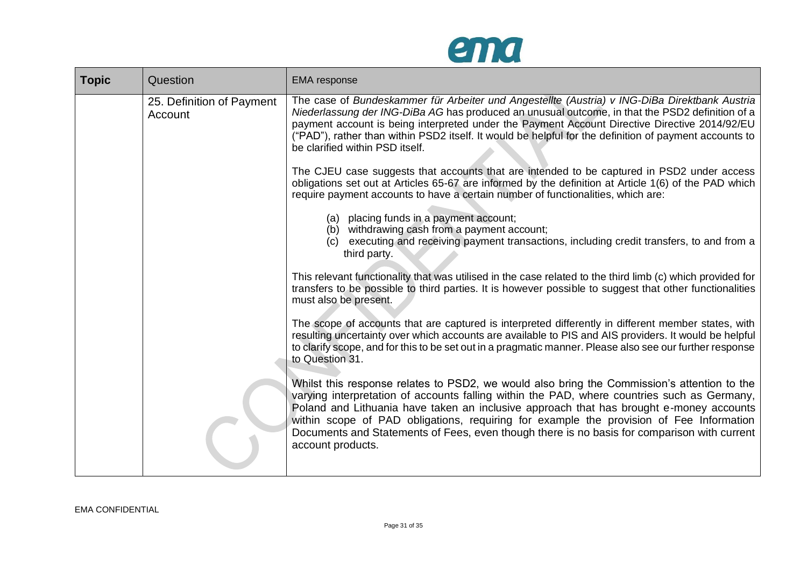

| <b>Topic</b> | Question                             | <b>EMA</b> response                                                                                                                                                                                                                                                                                                                                                                                                                                                                                  |
|--------------|--------------------------------------|------------------------------------------------------------------------------------------------------------------------------------------------------------------------------------------------------------------------------------------------------------------------------------------------------------------------------------------------------------------------------------------------------------------------------------------------------------------------------------------------------|
|              | 25. Definition of Payment<br>Account | The case of Bundeskammer für Arbeiter und Angestellte (Austria) v ING-DiBa Direktbank Austria<br>Niederlassung der ING-DiBa AG has produced an unusual outcome, in that the PSD2 definition of a<br>payment account is being interpreted under the Payment Account Directive Directive 2014/92/EU<br>("PAD"), rather than within PSD2 itself. It would be helpful for the definition of payment accounts to<br>be clarified within PSD itself.                                                       |
|              |                                      | The CJEU case suggests that accounts that are intended to be captured in PSD2 under access<br>obligations set out at Articles 65-67 are informed by the definition at Article 1(6) of the PAD which<br>require payment accounts to have a certain number of functionalities, which are:                                                                                                                                                                                                              |
|              |                                      | (a) placing funds in a payment account;<br>(b) withdrawing cash from a payment account;<br>(c) executing and receiving payment transactions, including credit transfers, to and from a<br>third party.                                                                                                                                                                                                                                                                                               |
|              |                                      | This relevant functionality that was utilised in the case related to the third limb (c) which provided for<br>transfers to be possible to third parties. It is however possible to suggest that other functionalities<br>must also be present.                                                                                                                                                                                                                                                       |
|              |                                      | The scope of accounts that are captured is interpreted differently in different member states, with<br>resulting uncertainty over which accounts are available to PIS and AIS providers. It would be helpful<br>to clarify scope, and for this to be set out in a pragmatic manner. Please also see our further response<br>to Question 31.                                                                                                                                                          |
|              |                                      | Whilst this response relates to PSD2, we would also bring the Commission's attention to the<br>varying interpretation of accounts falling within the PAD, where countries such as Germany,<br>Poland and Lithuania have taken an inclusive approach that has brought e-money accounts<br>within scope of PAD obligations, requiring for example the provision of Fee Information<br>Documents and Statements of Fees, even though there is no basis for comparison with current<br>account products. |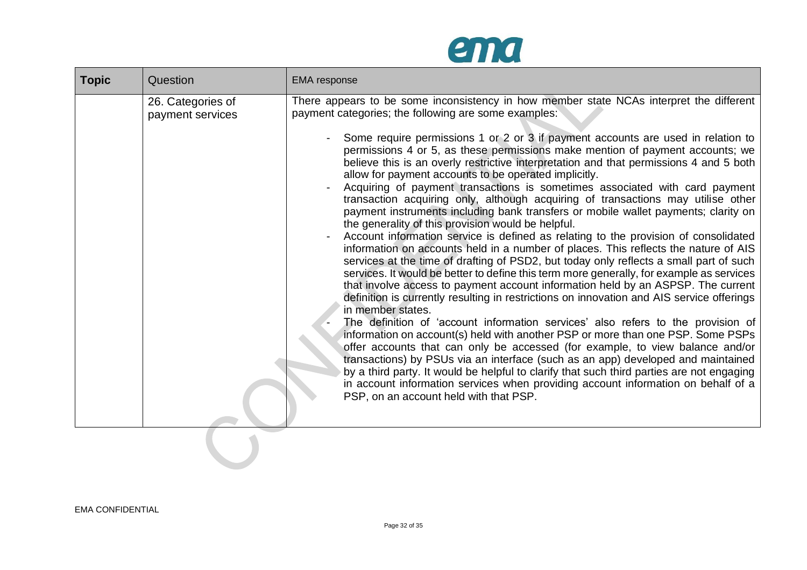

| <b>Topic</b> | Question                              | <b>EMA</b> response                                                                                                                                                                                                                                                                                                                                                                                                                                                                                                                                                                                                                                                                                                                                                                                                                                                                                                                                                                                                                                                                                                                                                                                                                                                                                                                                                                                                                                                                                                                                                                                                                                                                                                                                                                                                                                                                                                                      |
|--------------|---------------------------------------|------------------------------------------------------------------------------------------------------------------------------------------------------------------------------------------------------------------------------------------------------------------------------------------------------------------------------------------------------------------------------------------------------------------------------------------------------------------------------------------------------------------------------------------------------------------------------------------------------------------------------------------------------------------------------------------------------------------------------------------------------------------------------------------------------------------------------------------------------------------------------------------------------------------------------------------------------------------------------------------------------------------------------------------------------------------------------------------------------------------------------------------------------------------------------------------------------------------------------------------------------------------------------------------------------------------------------------------------------------------------------------------------------------------------------------------------------------------------------------------------------------------------------------------------------------------------------------------------------------------------------------------------------------------------------------------------------------------------------------------------------------------------------------------------------------------------------------------------------------------------------------------------------------------------------------------|
|              | 26. Categories of<br>payment services | There appears to be some inconsistency in how member state NCAs interpret the different<br>payment categories; the following are some examples:<br>Some require permissions 1 or 2 or 3 if payment accounts are used in relation to<br>permissions 4 or 5, as these permissions make mention of payment accounts; we<br>believe this is an overly restrictive interpretation and that permissions 4 and 5 both<br>allow for payment accounts to be operated implicitly.<br>Acquiring of payment transactions is sometimes associated with card payment<br>transaction acquiring only, although acquiring of transactions may utilise other<br>payment instruments including bank transfers or mobile wallet payments; clarity on<br>the generality of this provision would be helpful.<br>Account information service is defined as relating to the provision of consolidated<br>information on accounts held in a number of places. This reflects the nature of AIS<br>services at the time of drafting of PSD2, but today only reflects a small part of such<br>services. It would be better to define this term more generally, for example as services<br>that involve access to payment account information held by an ASPSP. The current<br>definition is currently resulting in restrictions on innovation and AIS service offerings<br>in member states.<br>The definition of 'account information services' also refers to the provision of<br>information on account(s) held with another PSP or more than one PSP. Some PSPs<br>offer accounts that can only be accessed (for example, to view balance and/or<br>transactions) by PSUs via an interface (such as an app) developed and maintained<br>by a third party. It would be helpful to clarify that such third parties are not engaging<br>in account information services when providing account information on behalf of a<br>PSP, on an account held with that PSP. |

 $\mathcal{L}^{\mathcal{L}}$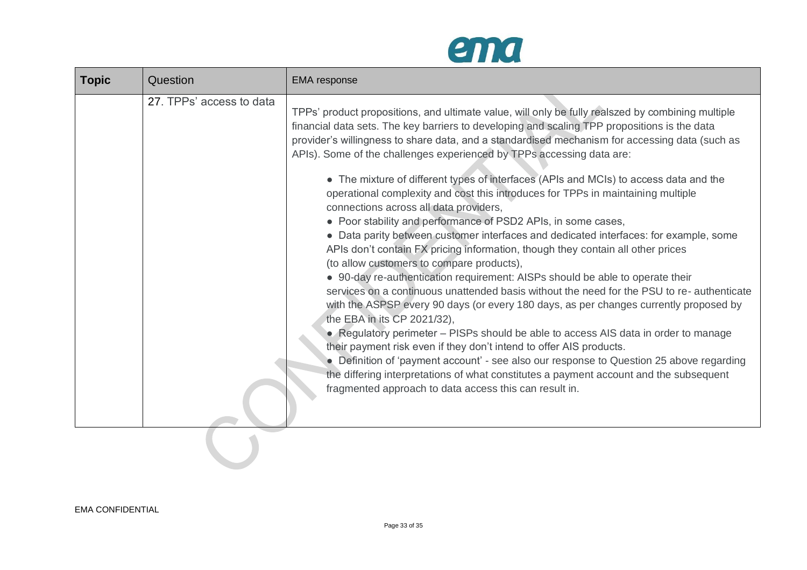

| <b>Topic</b> | Question                 | <b>EMA</b> response                                                                                                                                                                                                                                                                                                                                                                                                                                                                                                                                                                                                                                                                                                                                                                                                                                                                                                                                                                                                                                                                                                                                                                                                               |
|--------------|--------------------------|-----------------------------------------------------------------------------------------------------------------------------------------------------------------------------------------------------------------------------------------------------------------------------------------------------------------------------------------------------------------------------------------------------------------------------------------------------------------------------------------------------------------------------------------------------------------------------------------------------------------------------------------------------------------------------------------------------------------------------------------------------------------------------------------------------------------------------------------------------------------------------------------------------------------------------------------------------------------------------------------------------------------------------------------------------------------------------------------------------------------------------------------------------------------------------------------------------------------------------------|
|              | 27. TPPs' access to data | TPPs' product propositions, and ultimate value, will only be fully realszed by combining multiple<br>financial data sets. The key barriers to developing and scaling TPP propositions is the data<br>provider's willingness to share data, and a standardised mechanism for accessing data (such as<br>APIs). Some of the challenges experienced by TPPs accessing data are:                                                                                                                                                                                                                                                                                                                                                                                                                                                                                                                                                                                                                                                                                                                                                                                                                                                      |
|              |                          | • The mixture of different types of interfaces (APIs and MCIs) to access data and the<br>operational complexity and cost this introduces for TPPs in maintaining multiple<br>connections across all data providers,<br>• Poor stability and performance of PSD2 APIs, in some cases,<br>• Data parity between customer interfaces and dedicated interfaces: for example, some<br>APIs don't contain FX pricing information, though they contain all other prices<br>(to allow customers to compare products),<br>• 90-day re-authentication requirement: AISPs should be able to operate their<br>services on a continuous unattended basis without the need for the PSU to re-authenticate<br>with the ASPSP every 90 days (or every 180 days, as per changes currently proposed by<br>the EBA in its CP 2021/32),<br>• Regulatory perimeter – PISPs should be able to access AIS data in order to manage<br>their payment risk even if they don't intend to offer AIS products.<br>• Definition of 'payment account' - see also our response to Question 25 above regarding<br>the differing interpretations of what constitutes a payment account and the subsequent<br>fragmented approach to data access this can result in. |
|              |                          |                                                                                                                                                                                                                                                                                                                                                                                                                                                                                                                                                                                                                                                                                                                                                                                                                                                                                                                                                                                                                                                                                                                                                                                                                                   |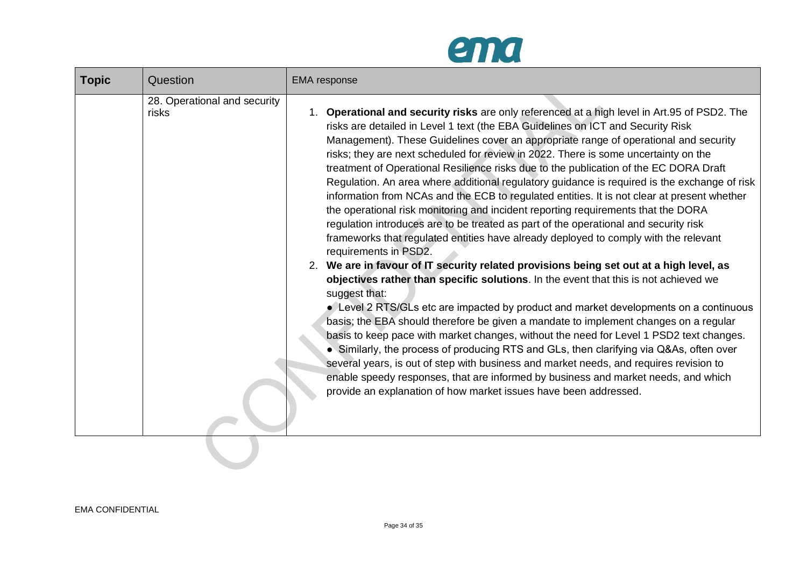

| <b>Topic</b> | Question                              | <b>EMA</b> response                                                                                                                                                                                                                                                                                                                                                                                                                                                                                                                                                                                                                                                                                                                                                                                                                                                                                                                                                                                                                                                                                                                                                                                                                                                                                                                                                                                                                                                                                                                                                                                                                                                                                                                                                                                |
|--------------|---------------------------------------|----------------------------------------------------------------------------------------------------------------------------------------------------------------------------------------------------------------------------------------------------------------------------------------------------------------------------------------------------------------------------------------------------------------------------------------------------------------------------------------------------------------------------------------------------------------------------------------------------------------------------------------------------------------------------------------------------------------------------------------------------------------------------------------------------------------------------------------------------------------------------------------------------------------------------------------------------------------------------------------------------------------------------------------------------------------------------------------------------------------------------------------------------------------------------------------------------------------------------------------------------------------------------------------------------------------------------------------------------------------------------------------------------------------------------------------------------------------------------------------------------------------------------------------------------------------------------------------------------------------------------------------------------------------------------------------------------------------------------------------------------------------------------------------------------|
|              | 28. Operational and security<br>risks | <b>Operational and security risks</b> are only referenced at a high level in Art.95 of PSD2. The<br>$1_{-}$<br>risks are detailed in Level 1 text (the EBA Guidelines on ICT and Security Risk<br>Management). These Guidelines cover an appropriate range of operational and security<br>risks; they are next scheduled for review in 2022. There is some uncertainty on the<br>treatment of Operational Resilience risks due to the publication of the EC DORA Draft<br>Regulation. An area where additional regulatory guidance is required is the exchange of risk<br>information from NCAs and the ECB to regulated entities. It is not clear at present whether<br>the operational risk monitoring and incident reporting requirements that the DORA<br>regulation introduces are to be treated as part of the operational and security risk<br>frameworks that regulated entities have already deployed to comply with the relevant<br>requirements in PSD2.<br>2. We are in favour of IT security related provisions being set out at a high level, as<br>objectives rather than specific solutions. In the event that this is not achieved we<br>suggest that:<br>• Level 2 RTS/GLs etc are impacted by product and market developments on a continuous<br>basis; the EBA should therefore be given a mandate to implement changes on a regular<br>basis to keep pace with market changes, without the need for Level 1 PSD2 text changes.<br>• Similarly, the process of producing RTS and GLs, then clarifying via Q&As, often over<br>several years, is out of step with business and market needs, and requires revision to<br>enable speedy responses, that are informed by business and market needs, and which<br>provide an explanation of how market issues have been addressed. |
|              |                                       |                                                                                                                                                                                                                                                                                                                                                                                                                                                                                                                                                                                                                                                                                                                                                                                                                                                                                                                                                                                                                                                                                                                                                                                                                                                                                                                                                                                                                                                                                                                                                                                                                                                                                                                                                                                                    |